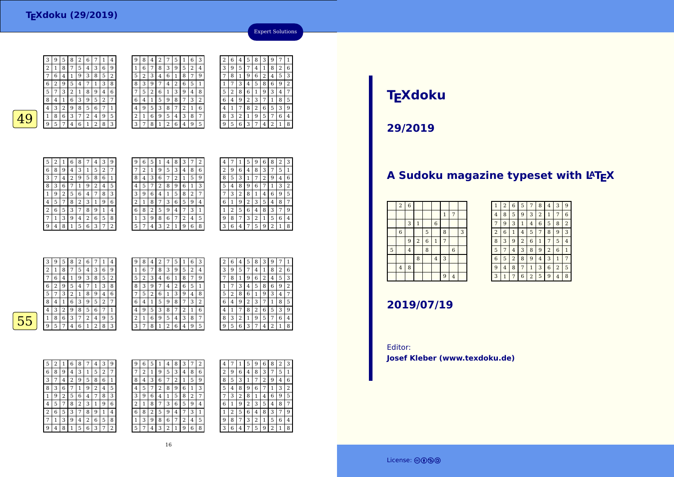

| 9<br>5<br>3<br>3<br>8<br>6<br>6<br>5<br>8<br>9<br>2<br>2<br>4<br>4<br>$\mathbf{1}$<br>3<br>6<br>7<br>5<br>5<br>3<br>2<br>2<br>8<br>1<br>9<br>9<br>8<br>4<br>7<br>4<br>5<br>3<br>6<br>5<br>2<br>6<br>7<br>2<br>1<br>7<br>9<br>8<br>8<br>1<br>4<br>9<br>4<br>8<br>5<br>6<br>6<br>5<br>3<br>3<br>2<br>1<br>8<br>9<br>9<br>7<br>7<br>4<br>4<br>5<br>5<br>7<br>3<br>6<br>3<br>8<br>8<br>9<br>6<br>$\overline{2}$<br>9<br>っ<br>1<br>4<br>1<br>4<br>∠<br>6<br>5<br>6<br>3<br>1<br>3<br>2<br>∍<br>8<br>9<br>8<br>7<br>9<br>7<br>1<br>4<br>4<br>∠ | 6              |
|------------------------------------------------------------------------------------------------------------------------------------------------------------------------------------------------------------------------------------------------------------------------------------------------------------------------------------------------------------------------------------------------------------------------------------------------------------------------------------------------------------------------------------------|----------------|
|                                                                                                                                                                                                                                                                                                                                                                                                                                                                                                                                          |                |
|                                                                                                                                                                                                                                                                                                                                                                                                                                                                                                                                          |                |
|                                                                                                                                                                                                                                                                                                                                                                                                                                                                                                                                          | 3              |
|                                                                                                                                                                                                                                                                                                                                                                                                                                                                                                                                          | $\overline{2}$ |
|                                                                                                                                                                                                                                                                                                                                                                                                                                                                                                                                          | 7              |
|                                                                                                                                                                                                                                                                                                                                                                                                                                                                                                                                          | 5              |
| 5<br>6<br>5<br>3<br>6<br>2<br>3<br>8<br>7<br>4<br>ി<br>9<br>4<br>8                                                                                                                                                                                                                                                                                                                                                                                                                                                                       | 9              |
| 2<br>5<br>6<br>3<br>3<br>8<br>5<br>2<br>9<br>6<br>9<br>4<br>8<br>7<br>7<br>1<br>1                                                                                                                                                                                                                                                                                                                                                                                                                                                        | 4              |
| 3<br>6<br>6<br>5<br>5<br>9<br>3<br>8<br>9<br>7<br>2<br>2<br>1<br>7<br>4<br>4                                                                                                                                                                                                                                                                                                                                                                                                                                                             | 8              |



| 5 | 2              | 1 | 6              | 8 | 7 | 4              | 3 | 9 |  |
|---|----------------|---|----------------|---|---|----------------|---|---|--|
| 6 | 8              | 9 | 4              | 3 | 1 | 5              | 2 | 7 |  |
| 3 | 7              | 4 | $\overline{c}$ | 9 | 5 | 8              | 6 | 1 |  |
| 8 | 3              | 6 | 7              | 1 | 9 | $\overline{2}$ | 4 | 5 |  |
| 1 | 9              | 2 | 5              | 6 | 4 | 7              | 8 | 3 |  |
| 4 | 5              | 7 | 8              | 2 | 3 | 1              | 9 | 6 |  |
| 2 | 6              | 5 | 3              | 7 | 8 | 9              | 1 | 4 |  |
| 7 | 1              | 3 | 9              | 4 | 2 | 6              | 5 | 8 |  |
| 9 | $\overline{4}$ | 8 | 1              | 5 | 6 | 3              | 7 | 2 |  |

| 9              | 6 | 5 |   | 4 | 8 | 3 | 7              | $\overline{2}$ |  |  |
|----------------|---|---|---|---|---|---|----------------|----------------|--|--|
| 7              | 2 |   | g | 5 | 3 | 4 | 8              | 6              |  |  |
| 8              | 4 | 3 | 6 |   | 2 |   | 5              | 9              |  |  |
| 4              | 5 |   | 2 | 8 | 9 | 6 | 1              | 3              |  |  |
| 3              | 9 | 6 | 4 | 1 | 5 | 8 | $\overline{2}$ |                |  |  |
| $\overline{2}$ | 1 | 8 |   | 3 | 6 | 5 | 9              | 4              |  |  |
| 6              | 8 | 2 | 5 | 9 | 4 |   | 3              | 1              |  |  |
| 1              | 3 | 9 | 8 | 6 | 7 | 2 | 4              | 5              |  |  |
| 5              | 7 | 4 | 3 | 2 |   | g | 6              | 8              |  |  |
|                |   |   |   |   |   |   |                |                |  |  |

| 8<br>3<br>9<br>6<br>2<br>5<br>1<br>7<br>4<br>$\overline{c}$<br>8<br>3<br>9<br>5<br>7<br>1<br>4<br>6<br>3<br>5<br>9<br>8<br>7<br>4<br>1<br>3<br>2<br>8<br>6<br>9<br>$\mathbf{1}$<br>7<br>4<br>3<br>2<br>5<br>6<br>8<br>$\overline{4}$<br>9<br>1<br>6<br>8<br>3<br>2<br>5<br>4<br>7<br>1 | 4 | 7 | 1 | 5 | 9 | 6            | 8 | 2 | З |
|----------------------------------------------------------------------------------------------------------------------------------------------------------------------------------------------------------------------------------------------------------------------------------------|---|---|---|---|---|--------------|---|---|---|
|                                                                                                                                                                                                                                                                                        |   |   |   |   |   |              |   |   |   |
|                                                                                                                                                                                                                                                                                        |   |   |   |   |   |              |   |   | 6 |
|                                                                                                                                                                                                                                                                                        |   |   |   |   |   |              |   |   | 2 |
|                                                                                                                                                                                                                                                                                        |   |   |   |   |   |              |   |   | 5 |
|                                                                                                                                                                                                                                                                                        |   |   |   |   |   |              |   |   | 7 |
|                                                                                                                                                                                                                                                                                        |   |   |   |   |   |              |   |   | 9 |
|                                                                                                                                                                                                                                                                                        | 9 | 8 | 7 | 3 | 2 | $\mathbf{1}$ | 5 | 6 | 4 |
| 5<br>$\overline{2}$<br>9<br>6<br>3<br>$\mathbf{1}$<br>7<br>4                                                                                                                                                                                                                           |   |   |   |   |   |              |   |   | 8 |

Expert Solutions

|   | 3 | 9 | 5 | 8              | 2 | 6              | 7 | 1 | 4 | 9 | 8      | 4 | ∍ | 7 | 5 |   | 6 | З |
|---|---|---|---|----------------|---|----------------|---|---|---|---|--------|---|---|---|---|---|---|---|
|   | 2 | 1 | 8 | 7              | 5 | 4              | 3 | 6 | 9 |   | 6      | 7 | 8 | 3 | 9 | 5 | 2 | 4 |
|   | 7 | 6 | 4 | 1              | 9 | 3              | 8 | 5 | 2 | 5 | ∍<br>∠ | З | 4 | 6 |   | 8 | 7 | 9 |
|   | 6 | 2 | 9 | 5              | 4 | 7              |   | 3 | 8 | 8 | 3      | 9 | 7 | 4 | 2 | 6 | 5 |   |
|   | 5 | 7 | 3 | 2              | 1 | 8              | 9 | 4 | 6 | 7 | 5      | 2 | 6 |   | 3 | 9 | 4 | 8 |
|   | 8 | 4 |   | 6              | 3 | 9              | 5 | 2 | 7 | 6 | 4      |   | 5 | 9 | 8 | 7 | 3 | 2 |
|   | 4 | 3 | 2 | 9              | 8 | 5              | 6 | 7 |   | 4 | 9      | 5 | 3 | 8 | 7 | ∍ | 1 | 6 |
| 5 |   | 8 | 6 | 3              | 7 | $\overline{2}$ | 4 | 9 | 5 | 2 |        | 6 | 9 | 5 | 4 | 3 | 8 | 7 |
|   | 9 | 5 | 7 | $\overline{4}$ | 6 | 1              | 2 | 8 | 3 | 3 | 7      | 8 |   | 2 | 6 | 4 | 9 | 5 |
|   |   |   |   |                |   |                |   |   |   |   |        |   |   |   |   |   |   |   |

| 2 | 6 | 4 | 5 | 8 | 3 | 9 | 7              | 1 |
|---|---|---|---|---|---|---|----------------|---|
| 3 | 9 | 5 |   | 4 | 1 | 8 | $\overline{2}$ | 6 |
|   | 8 | 1 | 9 | 6 | 2 | 4 | 5              | 3 |
| 1 |   | 3 | 4 | 5 | 8 | 6 | 9              | 2 |
| 5 | 2 | 8 | 6 | 1 | 9 | 3 | 4              | 7 |
| 6 | 4 | 9 | 2 | 3 | 7 | 1 | 8              | 5 |
| 4 | 1 | 7 | 8 | 2 | 6 | 5 | 3              | 9 |
| 8 | 3 | 2 | 1 | 9 | 5 | 7 | 6              | 4 |
| q | 5 | 6 | 3 | 7 | 4 | 2 | 1              | 8 |

| 0 |  |
|---|--|
|   |  |
|   |  |

| 5 | 2 | 1 | 6 | 8 |   | 4              | 3 | 9 |  |
|---|---|---|---|---|---|----------------|---|---|--|
| 6 | 8 | 9 | 4 | 3 | 1 | 5              | 2 | 7 |  |
| 3 | 7 | 4 | 2 | 9 | 5 | 8              | 6 | 1 |  |
| 8 | 3 | 6 |   | 1 | 9 | $\overline{2}$ | 4 | 5 |  |
| 1 | 9 | 2 | 5 | 6 | 4 | 7              | 8 | 3 |  |
| 4 | 5 | 7 | 8 | 2 | 3 | 1              | 9 | 6 |  |
| 2 | 6 | 5 | 3 | 7 | 8 | 9              | 1 | 4 |  |
|   | 1 | 3 | 9 | 4 | 2 | 6              | 5 | 8 |  |
| q | 4 | 8 |   | 5 | 6 | 3              | 7 | 2 |  |

| 6<br>2 | 5 |   | 4 | 8      |   |   |   |   |   |   |   |                |   |   |   |   |
|--------|---|---|---|--------|---|---|---|---|---|---|---|----------------|---|---|---|---|
|        |   |   |   |        | З |   | 2 | 4 |   |   | 5 | 9              | 6 | 8 | 2 | 3 |
|        | 1 | 9 | 5 | 3      | 4 | 8 | 6 | 2 | 9 | 6 | 4 | 8              | 3 | 7 | 5 | 1 |
| 4      | 3 | 6 | 7 | າ<br>∠ | 1 | 5 | 9 | 8 | 5 | 3 |   | 7              | 2 | 9 | 4 | 6 |
| 5      | 7 | 2 | 8 | 9      | 6 | 1 | 3 | 5 | 4 | 8 | 9 | 6              | 7 | 1 | 3 | 2 |
| 9      | 6 | 4 | 1 | 5      | 8 | 2 | 7 | 7 | 3 | 2 | 8 | 1              | 4 | 6 | 9 | 5 |
| 1      | 8 | 7 | 3 | 6      | 5 | 9 | 4 | 6 |   | 9 | 2 | 3              | 5 | 4 | 8 | 7 |
| 8      | 2 | 5 | 9 | 4      |   | З | 1 |   | ∍ | 5 | 6 | 4              | 8 | 3 | 7 | 9 |
| 3      | 9 | 8 | 6 | 7      | 2 | 4 | 5 | 9 | 8 | 7 | 3 | $\overline{2}$ | 1 | 5 | 6 | 4 |
| 7      | 4 | 3 | 2 | 1      | 9 | 6 | 8 | 3 | 6 | 4 | 7 | 5              | 9 | 2 | 1 | 8 |
|        |   |   |   |        |   |   |   |   |   |   |   |                |   |   |   |   |

#### 16

# **TEXdoku**

**29/2019**

## **A Sudoku magazine typeset with LATEX**

| $\sqrt{2}$  | $\boldsymbol{6}$ |                |                |                |                |                |   |
|-------------|------------------|----------------|----------------|----------------|----------------|----------------|---|
|             |                  |                |                |                | $\mathbf{1}$   | 7              |   |
|             | 3                | $\overline{1}$ |                | $\,$ 6 $\,$    |                |                |   |
| $\,$ 6 $\,$ |                  |                | $\overline{5}$ |                | 8              |                | 3 |
|             | 9                | $\overline{2}$ | $\overline{6}$ | $\mathbf 1$    | $\overline{7}$ |                |   |
|             | $\overline{4}$   |                | 8              |                |                | 6              |   |
|             |                  | 8              |                | $\overline{4}$ | 3              |                |   |
| $\bf{4}$    | 8                |                |                |                |                |                |   |
|             |                  |                |                |                | 9              | $\overline{4}$ |   |
|             |                  |                |                |                |                |                |   |

| 1              | $\overline{2}$ | 6              | 5              | 7              | 8              | 4              | 3              | 9              |
|----------------|----------------|----------------|----------------|----------------|----------------|----------------|----------------|----------------|
| 4              | 8              | 5              | 9              | 3              | $\overline{2}$ | 1              | 7              | 6              |
| 7              | 9              | 3              | $\mathbf{1}$   | 4              | 6              | 5              | 8              | $\overline{2}$ |
| $\overline{2}$ | 6              | 1              | 4              | 5              | 7              | 8              | 9              | 3              |
| 8              | 3              | 9              | $\overline{2}$ | 6              | 1              | 7              | 5              | 4              |
| 5              | 7              | 4              | 3              | 8              | 9              | $\overline{a}$ | 6              | 1              |
| 6              | 5              | $\overline{2}$ | 8              | 9              | 4              | 3              | 1              | 7              |
| 9              | 4              | 8              | 7              | $\mathbf{1}$   | 3              | 6              | $\overline{2}$ | 5              |
| 3              | 1              | 7              | 6              | $\overline{2}$ | 5              | 9              | 4              | 8              |

## **2019/07/19**

Editor:**Josef Kleber (www.texdoku.de)**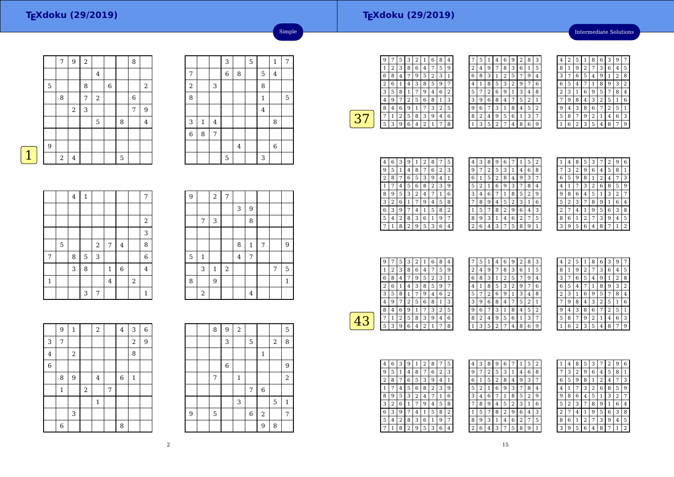## **TEXdoku (29/2019)**

Intermediate Solutions

|             |   | 7                | $\boldsymbol{9}$ | $\overline{a}$ |             |   |   | 8 |                  |
|-------------|---|------------------|------------------|----------------|-------------|---|---|---|------------------|
|             |   |                  |                  |                | 4           |   |   |   |                  |
|             | 5 |                  |                  | 8              |             | 6 |   |   | $\boldsymbol{2}$ |
|             |   | 8                |                  | 7              | $\,2$       |   |   | 6 |                  |
|             |   |                  | $\boldsymbol{2}$ | 3              |             |   |   | 7 | 9                |
|             |   |                  |                  |                | $\mathbf 5$ |   | 8 |   | $\overline{4}$   |
|             |   |                  |                  |                |             |   |   |   |                  |
|             | 9 |                  |                  |                |             |   |   |   |                  |
| $\mathbf 1$ |   | $\boldsymbol{2}$ | $\bf 4$          |                |             |   | 5 |   |                  |
|             |   |                  |                  |                |             |   |   |   |                  |

|                  |              |                | 3              |                | 5 |                | $\mathbf{1}$   | 7 |
|------------------|--------------|----------------|----------------|----------------|---|----------------|----------------|---|
| 7                |              |                | $\overline{6}$ | 8              |   | 5              | $\overline{4}$ |   |
| $\boldsymbol{2}$ |              | 3              |                |                |   | 8              |                |   |
| 8                |              |                |                |                |   | $\mathbf 1$    |                | 5 |
|                  |              |                |                |                |   | $\overline{4}$ |                |   |
| 3                | $\mathbf{1}$ | $\overline{4}$ |                |                |   |                | 8              |   |
| $\boldsymbol{6}$ | 8            | 7              |                |                |   |                |                |   |
|                  |              |                |                | $\overline{4}$ |   |                | $\overline{6}$ |   |
|                  |              |                | 5              |                |   | 3              |                |   |

Simple

|             |   | $\bf 4$ | $\mathbf{1}$ |            |                |                |                         | 7              |
|-------------|---|---------|--------------|------------|----------------|----------------|-------------------------|----------------|
|             |   |         |              |            |                |                |                         |                |
|             |   |         |              |            |                |                |                         | $\overline{2}$ |
|             |   |         |              |            |                |                |                         | 3              |
|             | 5 |         |              | $\sqrt{2}$ | $\sqrt{ }$     | $\overline{4}$ |                         | 8              |
| 7           |   | 8       | $\mathbf 5$  | 3          |                |                |                         | 6              |
|             |   | 3       | 8            |            | $\mathbf{1}$   | $\overline{6}$ |                         | $\overline{4}$ |
| $\mathbf 1$ |   |         |              |            | $\overline{4}$ |                | $\overline{\mathbf{c}}$ |                |
|             |   |         | 3            | 7          |                |                |                         | 1              |

| 9 |                | $\,2$        | 7     |                |              |   |   |              |
|---|----------------|--------------|-------|----------------|--------------|---|---|--------------|
|   |                |              |       | 3              | 9            |   |   |              |
|   | 7              | 3            |       |                | 8            |   |   |              |
|   |                |              |       |                |              |   |   |              |
|   |                |              |       | 8              | $\mathbf{1}$ | 7 |   | 9            |
| 5 | $\mathbf{1}$   |              |       | $\overline{4}$ | 7            |   |   |              |
|   | 3              | $\mathbf{1}$ | $\,2$ |                |              |   | 7 | 5            |
| 8 |                | 9            |       |                |              |   |   | $\mathbf{1}$ |
|   | $\overline{2}$ |              |       |                | 4            |   |   |              |

|                | 9           | $\,1\,$ |       | $\overline{c}$ |   | $\bf 4$     | 3                       | 6 |
|----------------|-------------|---------|-------|----------------|---|-------------|-------------------------|---|
| 3              | 7           |         |       |                |   |             | $\overline{\mathbf{c}}$ | 9 |
| $\overline{4}$ |             | $\,2$   |       |                |   |             | 8                       |   |
| $\overline{6}$ |             |         |       |                |   |             |                         |   |
|                | 8           | 9       |       | 4              |   | $\,$ 6 $\,$ | $\mathbf{1}$            |   |
|                | $\mathbf 1$ |         | $\,2$ |                | 7 |             |                         |   |
|                |             |         |       | $\,1\,$        |   |             |                         |   |
|                |             | 3       |       |                |   |             |                         |   |
|                | 6           |         |       |                |   | 8           |                         |   |

|   | 8 | 9           | 2            |             |                |       | 5            |
|---|---|-------------|--------------|-------------|----------------|-------|--------------|
|   |   | 3           |              | 5           |                | $\,2$ | 8            |
|   |   |             |              |             | $\mathbf{1}$   |       |              |
|   |   | $\,$ 6 $\,$ |              |             |                |       | 9            |
|   | 7 |             | $\mathbf{1}$ |             |                |       | $\sqrt{2}$   |
|   |   |             |              | 7           | 6              |       |              |
|   |   |             | 3            |             |                | 5     | $\mathbf{1}$ |
| 9 | 5 |             |              | $\,$ 6 $\,$ | $\overline{2}$ |       | 7            |
|   |   |             |              |             | 9              | 8     |              |

|   |   | 5 | 3 | 2 | 1 | 6 | 8 | 4 |  |
|---|---|---|---|---|---|---|---|---|--|
|   | 2 | 3 | 8 | 6 | 4 | 7 | 5 | 9 |  |
| 6 | 8 | 4 | 7 | 9 | 5 | 2 | 3 | 1 |  |
| 2 | 6 |   | 4 | З | 8 | 5 | g |   |  |
| 3 | 5 | 8 | 1 | 7 | 9 | 4 | 6 | 2 |  |
| 4 | g | 7 | 2 | 5 | 6 | 8 | 1 | 3 |  |
| 8 | 4 | 6 | 9 | 1 |   |   | 2 | 5 |  |
|   | 1 | 2 | 5 | 8 | 3 | 9 | 4 | 6 |  |
| 5 | 3 | q | 6 | 4 | 2 |   | 7 | 8 |  |
|   |   |   |   |   |   |   |   |   |  |

|   | 5 | 1 | 4              | 6 | 9 | 2 | 8 | 3 |  |
|---|---|---|----------------|---|---|---|---|---|--|
| 2 | 4 | 9 | 7              | 8 | 3 | 6 | 1 | 5 |  |
| 6 | 8 | 3 | 1              | 2 | 5 | 7 | 9 | 4 |  |
| 4 | 1 | 8 | 5              | 3 | 2 | 9 | 7 | 6 |  |
| 5 | 7 | 2 | 6              | 9 | 1 | 3 | 4 | 8 |  |
| 3 | 9 | 6 | 8              | 4 | 7 | 5 | 2 | 1 |  |
| 9 | 6 | 7 | 3              | 1 | 8 | 4 | 5 | 2 |  |
| 8 | 2 | 4 | 9              | 5 | 6 | 1 | 3 | 7 |  |
|   | 3 | 5 | $\overline{2}$ | 7 | 4 | 8 | 6 | 9 |  |

| 4 | 2 | 5              | 1 | 8              | 6              | 3              | 9 |   |
|---|---|----------------|---|----------------|----------------|----------------|---|---|
| 8 | 1 | 9              | 2 | 7              | 3              | 6              | 4 | 5 |
| 3 | 7 | 6              | 5 | 4              | 9              | 1              | 2 | 8 |
| 6 | 5 | 4              | 7 | 1              | 8              | 9              | 3 | 2 |
| 2 | 3 | 1              | 6 | 9              | 5              | 7              | 8 | 4 |
| 7 | 9 | 8              | 4 | 3              | $\overline{2}$ | 5              | 1 | 6 |
| 9 | 4 | 3              | 8 | 6              | 7              | $\overline{2}$ | 5 | 1 |
| 5 | 8 | 7              | 9 | $\overline{2}$ | 1              | 4              | 6 | 3 |
|   | 6 | $\overline{2}$ | 3 | 5              | 4              | 8              | 7 | 9 |

| 4 | 6 | 3 | 9              | 1 | 2 | 8 |   | 5 |
|---|---|---|----------------|---|---|---|---|---|
| 9 | 5 | 1 | 4              | 8 | 7 | 6 | 2 | 3 |
| 2 | 8 |   | 6              | 5 | 3 | 9 | 4 | 1 |
|   |   | 4 | 5              | 6 | 8 | 2 | 3 | 9 |
| 8 | 9 | 5 | 3              | 2 | 4 |   | 1 | 6 |
| 3 | 2 | 6 | 1              |   | 9 | 4 | 5 | 8 |
| 6 | 3 | 9 |                | 4 | 1 | 5 | 8 | 2 |
| 5 | 4 | 2 | 8              | 3 | 6 | 1 | 9 | 7 |
|   |   | 8 | $\overline{2}$ | 9 | 5 | 3 | 6 | 4 |

| 4 | З | 8 | 9 | 6 | 7 | 1              | 5            | 2            |
|---|---|---|---|---|---|----------------|--------------|--------------|
| 9 |   | 2 | 5 | 3 | 1 | 4              | 6            | 8            |
| 6 | 1 | 5 | 2 | 8 | 4 | 9              | 3            | 7            |
| 5 | 2 | 1 | 6 | 9 | 3 |                | 8            | 4            |
| 3 | 4 | 6 | 7 | 1 | 8 | 5              | 2            | g            |
|   | 8 | 9 | 4 | 5 | 2 | 3              | $\mathbf{1}$ | 6            |
| 1 | 5 | 7 | 8 | 2 | 9 | 6              | 4            | 3            |
| 8 | 9 | 3 | 1 | 4 | 6 | $\overline{2}$ | 7            | 5            |
| 2 | 6 | 4 | 3 | 7 | 5 | 8              | 9            | $\mathbf{1}$ |
|   |   |   |   |   |   |                |              |              |

| 1 | 4 | 8              | 5 | 3 |   | 2 | 9              | 6 |
|---|---|----------------|---|---|---|---|----------------|---|
|   | 3 | $\overline{2}$ | 9 | 6 | 4 | 5 | 8              | 1 |
| 6 | 5 | 9              | 8 | 1 | 2 | 4 |                | 3 |
| 4 |   |                | 3 | 2 | 6 | 8 | 5              | 9 |
| 9 | 8 | 6              | 4 | 5 | 1 | 3 | $\overline{2}$ | 7 |
| 5 | 2 | 3              | 7 | 8 | 9 | 1 | 6              | 4 |
| 2 | 7 | 4              | 1 | 9 | 5 | 6 | 3              | 8 |
| 8 | 6 | 1              | 2 | 7 | 3 | 9 | 4              | 5 |
|   | q | 5              | 6 | 4 | 8 | 7 | 1              | 2 |

| 9 | 7 | 5 | 3 | 2 |   | 6 | 8 | 4 |  |
|---|---|---|---|---|---|---|---|---|--|
| 1 | 2 | 3 | 8 | 6 | 4 |   | 5 | 9 |  |
| 6 | 8 | 4 | 7 | 9 | 5 | 2 | 3 | 1 |  |
| 2 | 6 |   | 4 | 3 | 8 | 5 | 9 | 7 |  |
| 3 | 5 | 8 | 1 | 7 | 9 | 4 | 6 | 2 |  |
| 4 | 9 | 7 | 2 | 5 | 6 | 8 | 1 | 3 |  |
| 8 | 4 | 6 | 9 | 1 |   | 3 | 2 | 5 |  |
|   | 1 | 2 | 5 | 8 | 3 | 9 | 4 | 6 |  |
| 5 | 3 | 9 | 6 | 4 | 2 |   |   | 8 |  |

|   | 5 | 1 | 4              | 6 | 9 | $\overline{2}$ | 8 | 3 |
|---|---|---|----------------|---|---|----------------|---|---|
| 2 | 4 | 9 |                | 8 | 3 | 6              | 1 | 5 |
| 6 | 8 | 3 | 1              | 2 | 5 | 7              | 9 | 4 |
| 4 | 1 | 8 | 5              | 3 | 2 | 9              | 7 | 6 |
| 5 | 7 | 2 | 6              | 9 | 1 | 3              | 4 | 8 |
| 3 | 9 | 6 | 8              | 4 | 7 | 5              | 2 | 1 |
| 9 | 6 | 7 | 3              | 1 | 8 | 4              | 5 | 2 |
| 8 | 2 | 4 | 9              | 5 | 6 | 1              | 3 | 7 |
|   | 3 | 5 | $\overline{2}$ | 7 | 4 | 8              | 6 | 9 |

| 4 | 2 | 5              | 1              | 8 | 6              | 3              | g              |                |
|---|---|----------------|----------------|---|----------------|----------------|----------------|----------------|
| 8 | 1 | 9              | $\overline{2}$ | 7 | 3              | 6              | 4              | 5              |
| 3 | 7 | 6              | 5              | 4 | 9              | 1              | $\overline{2}$ | 8              |
| 6 | 5 | 4              | 7              | 1 | 8              | 9              | 3              | $\overline{2}$ |
| 2 | 3 | 1              | 6              | 9 | 5              | 7              | 8              | 4              |
|   | 9 | 8              | 4              | 3 | $\overline{c}$ | 5              | 1              | 6              |
| 9 | 4 | 3              | 8              | 6 |                | $\overline{c}$ | 5              | 1              |
| 5 | 8 | 7              | 9              | 2 | 1              | 4              | 6              | 3              |
|   | 6 | $\overline{2}$ | 3              | 5 | 4              | 8              | 7              | q              |

| 4 | 6 | 3 | g              | 1 | 2 | 8              | 7 | 5              |
|---|---|---|----------------|---|---|----------------|---|----------------|
| 9 | 5 |   | 4              | 8 | 7 | 6              | 2 | 3              |
| 2 | 8 | 7 | 6              | 5 | 3 | 9              | 4 |                |
|   |   | 4 | 5              | 6 | 8 | $\overline{2}$ | 3 | 9              |
| 8 | 9 | 5 | 3              | 2 | 4 |                | 1 | 6              |
| 3 | 2 | 6 | 1              |   | 9 | 4              | 5 | 8              |
| 6 | 3 | 9 |                | 4 | 1 | 5              | 8 | $\overline{2}$ |
| 5 | 4 | 2 | 8              | 3 | 6 | 1              | 9 | 7              |
|   |   | 8 | $\overline{2}$ | 9 | 5 | 3              | 6 | 4              |

| 4 | 3              | 8 | 9 | 6              |   | 1              | 5              | $\overline{2}$ |
|---|----------------|---|---|----------------|---|----------------|----------------|----------------|
| 9 | 7              | 2 | 5 | 3              | 1 | 4              | 6              | 8              |
| 6 | 1              | 5 | 2 | 8              | 4 | 9              | 3              | 7              |
| 5 | $\overline{2}$ | 1 | 6 | 9              | 3 | 7              | 8              | 4              |
| 3 | 4              | 6 | 7 | 1              | 8 | 5              | $\overline{2}$ | 9              |
|   | 8              | 9 | 4 | 5              | 2 | 3              | 1              | 6              |
| 1 | 5              | 7 | 8 | $\overline{2}$ | 9 | 6              | 4              | 3              |
| 8 | 9              | 3 | 1 | 4              | 6 | $\overline{2}$ | 7              | 5              |
| 2 | 6              | 4 | 3 | 7              | 5 | 8              | 9              | 1              |

|   | 4 | 8              | 5 | 3 | 7 | $\overline{c}$ | 9              | 6 |
|---|---|----------------|---|---|---|----------------|----------------|---|
| 7 | 3 | $\overline{2}$ | 9 | 6 | 4 | 5              | 8              | 1 |
| 6 | 5 | 9              | 8 | 1 | 2 | 4              | 7              | 3 |
| 4 | 1 | 7              | 3 | 2 | 6 | 8              | 5              | 9 |
| 9 | 8 | 6              | 4 | 5 | 1 | 3              | $\overline{2}$ | 7 |
| 5 | 2 | 3              | 7 | 8 | 9 | 1              | 6              | 4 |
| 2 | 7 | 4              | 1 | 9 | 5 | 6              | 3              | 8 |
| 8 | 6 | 1              | 2 | 7 | 3 | 9              | 4              | 5 |
| 3 | 9 | 5              | 6 | 4 | 8 | 7              | 1              | 2 |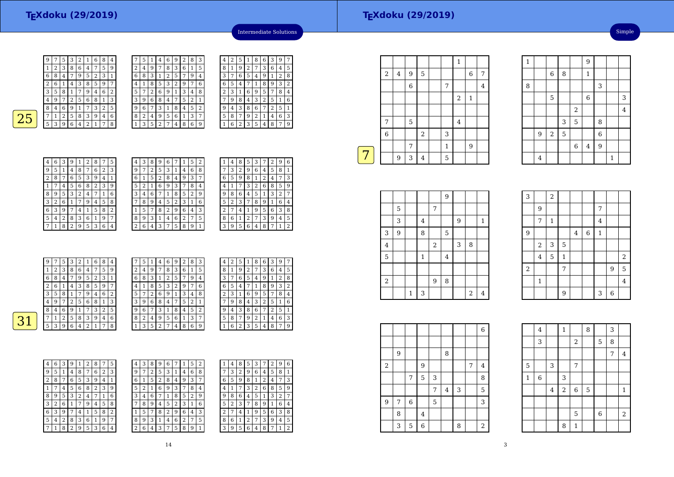|   | 5              | 1 | 4              | 6 | 9 | 2 | 8 | 3 |
|---|----------------|---|----------------|---|---|---|---|---|
| 2 | 4              | 9 | 7              | 8 | 3 | 6 | 1 | 5 |
| 6 | 8              | 3 | 1              | 2 | 5 | 7 | 9 | 4 |
| 4 | 1              | 8 | 5              | 3 | 2 | 9 |   | 6 |
| 5 | 7              | 2 | 6              | 9 | 1 | 3 | 4 | 8 |
| 3 | 9              | 6 | 8              | 4 | 7 | 5 | 2 | 1 |
| 9 | 6              | 7 | 3              | 1 | 8 | 4 | 5 | 2 |
| 8 | $\overline{2}$ | 4 | 9              | 5 | 6 | 1 | 3 | 7 |
|   | 3              | 5 | $\overline{2}$ | 7 | 4 | 8 | 6 | 9 |



| 4 | 6 | З | 9 | 1 | 2                       | 8              | 7 | 5 |  |
|---|---|---|---|---|-------------------------|----------------|---|---|--|
| 9 | 5 | 1 | 4 | 8 | 7                       | 6              | 2 | 3 |  |
| 2 | 8 | 7 | 6 | 5 | 3                       | 9              | 4 | 1 |  |
| 1 | 7 | 4 | 5 | 6 | 8                       | $\overline{2}$ | 3 | 9 |  |
| 8 | 9 | 5 | 3 | 2 | $\overline{\mathbf{4}}$ | 7              | 1 | 6 |  |
| 3 | 2 | 6 | 1 | 7 | 9                       | 4              | 5 | 8 |  |
| 6 | 3 | 9 |   | 4 | 1                       | 5              | 8 | 2 |  |
| 5 | 4 | 2 | 8 | 3 | 6                       | 1              | 9 | 7 |  |
|   | 1 | 8 | 2 | 9 | 5                       | 3              | 6 | 4 |  |

| 4 | З | 8 | 9              | 6 |   | 1 | 5 | 2 |  |
|---|---|---|----------------|---|---|---|---|---|--|
| 9 | 7 | 2 | 5              | 3 | 1 | 4 | 6 | 8 |  |
| 6 | 1 | 5 | $\overline{c}$ | 8 | 4 | 9 | 3 | 7 |  |
| 5 | 2 | 1 | 6              | 9 | 3 | 7 | 8 | 4 |  |
| 3 | 4 | 6 | 7              | 1 | 8 | 5 | 2 | 9 |  |
|   | 8 | 9 | 4              | 5 | 2 | 3 | 1 | 6 |  |
|   | 5 | 7 | 8              | 2 | 9 | 6 | 4 | 3 |  |
| 8 | 9 | 3 | 1              | 4 | 6 | 2 | 7 | 5 |  |
| 2 | 6 | 4 | 3              | 7 | 5 | 8 | 9 | 1 |  |

4

| 1 | 4 | 8 | 5 | 3 |                | 2 | 9 | 6 |
|---|---|---|---|---|----------------|---|---|---|
|   | 3 | 2 | 9 | 6 | 4              | 5 | 8 | 1 |
| 6 | 5 | 9 | 8 | 1 | $\overline{c}$ | 4 | 7 | 3 |
| 4 | 1 |   | 3 | 2 | 6              | 8 | 5 | 9 |
| 9 | 8 | 6 | 4 | 5 | 1              | 3 | 2 | 7 |
| 5 | 2 | 3 |   | 8 | 9              | 1 | 6 | 4 |
| 2 | 7 | 4 | 1 | 9 | 5              | 6 | 3 | 8 |
| 8 | 6 | 1 | 2 | 7 | 3              | 9 | 4 | 5 |
| 3 | 9 | 5 | 6 | 4 | 8              | 7 | 1 | 2 |

<sup>3</sup> <sup>1</sup> <sup>6</sup> <sup>9</sup> <sup>5</sup> <sup>7</sup> <sup>8</sup> <sup>4</sup>

4 3 2 5 1 6

 <sup>3</sup> <sup>8</sup> <sup>6</sup> <sup>7</sup> <sup>2</sup> <sup>5</sup> <sup>1</sup> 5 <sup>8</sup> <sup>7</sup> <sup>9</sup> <sup>2</sup> <sup>1</sup> <sup>4</sup> <sup>6</sup> <sup>3</sup> 1 <sup>6</sup> <sup>2</sup> <sup>3</sup> <sup>5</sup> <sup>4</sup> <sup>8</sup> <sup>7</sup> <sup>9</sup>

Intermediate Solutions

 $\begin{array}{|c|c|c|c|c|}\n\hline\n1 & 8 & 6 & 3 & 9 \\
\hline\n2 & 7 & 3 & 6 & 4\n\end{array}$ 

<sup>9</sup> <sup>2</sup> <sup>7</sup> <sup>3</sup> <sup>6</sup> <sup>4</sup> <sup>5</sup>

 <sup>7</sup>6 <sup>5</sup> <sup>4</sup> <sup>7</sup> <sup>1</sup> <sup>8</sup> <sup>9</sup> <sup>3</sup> <sup>2</sup>  $5 | 4 | 9 | 1$ 

<sup>9</sup> <sup>8</sup> <sup>4</sup> <sup>3</sup> <sup>2</sup> <sup>5</sup> <sup>1</sup> <sup>6</sup> 9 <sup>4</sup> <sup>3</sup> <sup>8</sup> <sup>6</sup> <sup>7</sup> <sup>2</sup> <sup>5</sup> <sup>1</sup>

5 <sup>8</sup> <sup>7</sup> <sup>9</sup> <sup>2</sup> <sup>1</sup> <sup>4</sup> <sup>6</sup> <sup>3</sup> 1 <sup>6</sup> <sup>2</sup> <sup>3</sup> <sup>5</sup> <sup>4</sup> <sup>8</sup> <sup>7</sup> <sup>9</sup>

<sup>3</sup> <sup>1</sup> <sup>6</sup> <sup>9</sup> <sup>5</sup> <sup>7</sup> <sup>8</sup> <sup>4</sup>

4

3

 $\sqrt{7}$ 

 $\blacksquare$ 

 $\frac{8}{1}$ 

 $\sqrt{2}$   $\sqrt{3}$   $\sqrt{1}$ 

|    | 9 | 7 | 5 | 3 | $\overline{2}$ | 1 | 6 | 8              | 4 | 7 | 5 |   | 4 | 6 | 9 | 2 | 8 | 3 | 4              | 2 | 5              |
|----|---|---|---|---|----------------|---|---|----------------|---|---|---|---|---|---|---|---|---|---|----------------|---|----------------|
|    |   | 2 | 3 | 8 | 6              | 4 | 7 | 5              | 9 | 2 | 4 | 9 | 7 | 8 | 3 | 6 | 1 | 5 | 8              | 1 | 9              |
|    | 6 | 8 | 4 | 7 | 9              | 5 | 2 | 3              |   | 6 | 8 | 3 |   | 2 | 5 | 7 | 9 | 4 | 3              | ⇁ | 6              |
|    | 2 | 6 |   | 4 | 3              | 8 | 5 | 9              | 7 | 4 | 1 | 8 | 5 | 3 | 2 | 9 | 7 | 6 | 6              | 5 | $\overline{4}$ |
|    | 3 | 5 | 8 |   | 7              | 9 | 4 | 6              | 2 | 5 | 7 | 2 | 6 | 9 |   | 3 | 4 | 8 | $\overline{2}$ | 3 | $\mathbf{1}$   |
|    | 4 | 9 | 7 | າ | 5              | 6 | 8 | 1<br>÷.        | 3 | 3 | 9 | 6 | 8 | 4 | 7 | 5 | 2 |   | $\overline{ }$ | 9 | 8              |
|    | 8 | 4 | 6 | 9 |                | 7 | 3 | $\overline{2}$ | 5 | 9 | 6 | 7 | 3 |   | 8 | 4 | 5 | 2 | 9              | 4 | 3              |
| 31 | ⇁ | 1 | 2 | 5 | 8              | 3 | 9 | 4              | 6 | 8 | 2 | 4 | 9 | 5 | 6 |   | 3 | 7 | 5              | 8 | 7              |
|    | 5 | 3 | 9 | 6 | 4              | 2 | 1 | 7              | 8 |   | 3 | 5 | 2 | 7 | 4 | 8 | 6 | 9 |                | 6 | 2              |
|    |   |   |   |   |                |   |   |                |   |   |   |   |   |   |   |   |   |   |                |   |                |

| 4 | 6      | 3 | 9 |   | 2 | 8 |   | 5 | 4 | 3 | 8 | 9 | 6 |        |   | 5 | $\overline{2}$ |
|---|--------|---|---|---|---|---|---|---|---|---|---|---|---|--------|---|---|----------------|
| 9 | 5      | 1 | 4 | 8 | 7 | 6 | 2 | 3 | 9 | 7 | 2 | 5 | 3 |        | 4 | 6 | 8              |
| 2 | 8      | 7 | 6 | 5 | 3 | 9 | 4 |   | 6 | 1 | 5 | 2 | 8 | 4      | 9 | 3 | 7              |
|   |        | 4 | 5 | 6 | 8 | 2 | 3 | 9 | 5 | 2 |   | 6 | 9 | 3      |   | 8 | 4              |
| 8 | 9      | 5 | 3 | 2 | 4 | 7 | 1 | 6 | 3 | 4 | 6 |   | 1 | 8      | 5 | 2 | g              |
| 3 | n<br>∠ | 6 |   | 7 | 9 | 4 | 5 | 8 | 7 | 8 | 9 | 4 | 5 | ∍<br>∠ | 3 | 1 | 6              |
| 6 | 3      | 9 | 7 | 4 |   | 5 | 8 | 2 | 1 | 5 | 7 | 8 | 2 | 9      | 6 | 4 | 3              |
| 5 | 4      | 2 | 8 | 3 | 6 |   | 9 | 7 | 8 | 9 | 3 | 1 | 4 | 6      | 2 | 7 | 5              |
|   |        | 8 | 2 | 9 | 5 | 3 | 6 | 4 | 2 | 6 | 4 | З |   | 5      | 8 | 9 | 1              |

| 3              | 8 | 9 | 6 |   |   | 5 | n<br>∠ |   | 4 | 8      | 5 | 3 |   |   | 9 | 6 |
|----------------|---|---|---|---|---|---|--------|---|---|--------|---|---|---|---|---|---|
| 7              | 2 | 5 | 3 | 1 | 4 | 6 | 8      |   | 3 | ŋ<br>∠ | 9 | 6 | 4 | 5 | 8 |   |
| 1              | 5 | 2 | 8 | 4 | 9 | 3 | n      | 6 | 5 | 9      | 8 |   | Δ | 4 |   | 3 |
| $\overline{2}$ |   | 6 | 9 | 3 |   | 8 | 4      | 4 |   |        | З | 2 | 6 | 8 | 5 | 9 |
| 4              | 6 |   | 1 | 8 | 5 | 2 | 9      | 9 | 8 | 6      | 4 | 5 |   | 3 | 2 |   |
| 8              | 9 | 4 | 5 | 2 | 3 | 1 | 6      | 5 | 2 | 3      |   | 8 | 9 |   | 6 | 4 |
| 5              |   | 8 | 2 | 9 | 6 | 4 | 3      | n |   | 4      |   | 9 | 5 | 6 | 3 | 8 |
| 9              | 3 |   | 4 | 6 | 2 | 7 | 5      | 8 | 6 |        | ∍ | ¬ | 3 | 9 | 4 | 5 |
| 6              | 4 | 3 | 7 | 5 | 8 | 9 |        | З | 9 | 5      | 6 | 4 | 8 |   |   | 2 |
|                |   |   |   |   |   |   |        |   |   |        |   |   |   |   |   |   |

|   | 4 | 8 |  |
|---|---|---|--|
|   | 3 | 2 |  |
| 6 | 5 | g |  |
| 4 |   |   |  |
|   | о |   |  |

| 6 | 5            | 9              | 8            | 1 | 2 | 4 | 7 | З |
|---|--------------|----------------|--------------|---|---|---|---|---|
| 4 | $\mathbf{1}$ | 7              | 3            | 2 | 6 | 8 | 5 | 9 |
| 9 | 8            | 6              | 4            | 5 | 1 | 3 | 2 | 7 |
| 5 | 2            | 3              | 7            | 8 | 9 | 1 | 6 | 4 |
| 2 | 7            | 4              | $\mathbf{1}$ | 9 | 5 | 6 | 3 | 8 |
| 8 | 6            | $\overline{1}$ | 2            | 7 | 3 | 9 | 4 | 5 |
| 3 | 9            | 5              | 6            | 4 | 8 | 7 | 1 | 2 |
|   |              |                |              |   |   |   |   |   |
|   |              |                |              |   |   |   |   |   |
|   |              |                |              |   |   |   |   |   |
|   |              |                |              |   |   |   |   |   |
|   |              |                |              |   |   |   |   |   |
| 4 | 2            | 5              | 1            | 8 | 6 | 3 | 9 | 7 |
| 8 | 1            | 9              | 2            | 7 | 3 | 6 | 4 | 5 |
| 3 | 7            | 6              | 5            | 4 | 9 | 1 | 2 | 8 |
| 6 | 5            | 4              | 7            | 1 | 8 | 9 | 3 | 2 |

|                  |   |                |                |             |   |   |   | 6              |  |
|------------------|---|----------------|----------------|-------------|---|---|---|----------------|--|
|                  |   |                |                |             |   |   |   |                |  |
|                  | 9 |                |                |             | 8 |   |   |                |  |
| $\boldsymbol{2}$ |   |                | 9              |             |   |   | 7 | 4              |  |
|                  |   | $\overline{7}$ | 5              | 3           |   |   |   | 8              |  |
|                  |   |                |                | 7           | 4 | 3 |   | 5              |  |
| 9                | 7 | $\,$ 6 $\,$    |                | $\mathbf 5$ |   |   |   | 3              |  |
|                  | 8 |                | $\overline{4}$ |             |   |   |   |                |  |
|                  | 3 | $\mathbf 5$    | 6              |             |   | 8 |   | $\overline{2}$ |  |

 $\overline{2}$ 

|   |                |                         |             |                |             | $\mathbf{1}$            |              |                |
|---|----------------|-------------------------|-------------|----------------|-------------|-------------------------|--------------|----------------|
|   | $\,2$          | $\overline{\mathbf{4}}$ | 9           | 5              |             |                         | $\,$ 6 $\,$  | 7              |
|   |                |                         | $\,6$       |                | 7           |                         |              | $\overline{4}$ |
|   |                |                         |             |                |             | $\overline{\mathbf{c}}$ | $\mathbf{1}$ |                |
|   |                |                         |             |                |             |                         |              |                |
|   | 7              |                         | $\mathbf 5$ |                |             | $\bf 4$                 |              |                |
|   | $\overline{6}$ |                         |             | $\overline{2}$ | 3           |                         |              |                |
|   |                |                         | 7           |                | $\mathbf 1$ |                         | 9            |                |
|   |                | 9                       | 3           | $\overline{4}$ | 5           |                         |              |                |
| 7 |                |                         |             |                |             |                         |              |                |

|                |   |              |                |            | 9              |   |                |              |
|----------------|---|--------------|----------------|------------|----------------|---|----------------|--------------|
|                | 5 |              |                | 7          |                |   |                |              |
|                | 3 |              | $\overline{4}$ |            |                | 9 |                | $\mathbf{1}$ |
| 3              | 9 |              | 8              |            | 5              |   |                |              |
| 4              |   |              |                | $\sqrt{2}$ |                | 3 | 8              |              |
| 5              |   |              | $\mathbf{1}$   |            | $\overline{4}$ |   |                |              |
|                |   |              |                |            |                |   |                |              |
| $\overline{2}$ |   |              |                | 9          | 8              |   |                |              |
|                |   | $\mathbf{1}$ | 3              |            |                |   | $\overline{2}$ | 4            |

| 3                |                | $\overline{c}$ |              |         |             |                |                |                |
|------------------|----------------|----------------|--------------|---------|-------------|----------------|----------------|----------------|
|                  | 9              |                |              |         |             | 7              |                |                |
|                  | $\overline{7}$ | $\mathbf 1$    |              |         |             | $\overline{4}$ |                |                |
| 9                |                |                |              | $\bf 4$ | $\,$ 6 $\,$ | $\mathbf{1}$   |                |                |
|                  | $\,2$          | 3              | 5            |         |             |                |                |                |
|                  | $\overline{4}$ | 5              | $\mathbf{1}$ |         |             |                |                | $\overline{a}$ |
| $\boldsymbol{2}$ |                |                | 7            |         |             |                | 9              | 5              |
|                  | $\mathbf{1}$   |                |              |         |             |                |                | $\overline{4}$ |
|                  |                |                | 9            |         |             | 3              | $\overline{6}$ |                |

1

8

 $\frac{1}{\sqrt{9}}$ 

 $\begin{array}{|c|c|c|c|c|c|}\n\hline\n6 & 8 & 1\n\end{array}$ 

 $\begin{array}{|c|c|c|c|c|c|c|c|}\n\hline\n5 & 6 & 3 \\
\hline\n\end{array}$ 2

 $\begin{array}{|c|c|c|c|}\n\hline\n3 & 5 & 8 \\
\hline\n5 & 6 & \\
\hline\n\end{array}$ 

 $\begin{array}{|c|c|c|c|c|}\n\hline\n2 & 5 & 6 \\
\hline\n\end{array}$ 6 $\begin{array}{c|c} 6 & 4 & 9 \end{array}$ 

 $\frac{4}{1}$  1

 $\begin{array}{|c|c|c|c|c|}\n\hline\n2 & 4 \\
\hline\n\end{array}$ 

 $\begin{array}{|c|c|c|c|c|c|c|c|c|}\n\hline\n\text{3} & \text{1} & \text{2} & \text{3} \\
\hline\n\text{4} & \text{5} & \text{6} & \text{7} & \text{8} \\
\hline\n\text{5} & \text{6} & \text{8} & \text{9} & \text{10} \\
\hline\n\text{6} & \text{7} & \text{8} & \text{10} & \text{10} \\
\hline\n\text{7} & \text{8} & \text{10} & \text{10} & \text{10} \\
\hline\n\text{8} & \text{9} & \text{10} & \$ 5

3

 $\frac{9}{2}$ 

4

|              | $\overline{4}$ |                | $\mathbf{1}$   |              | 8 |             | 3 |                |
|--------------|----------------|----------------|----------------|--------------|---|-------------|---|----------------|
|              | 3              |                |                | $\,2$        |   | 5           | 8 |                |
|              |                |                |                |              |   |             | 7 | $\overline{4}$ |
| 5            |                | 3              |                | 7            |   |             |   |                |
| $\mathbf{1}$ | 6              |                | 3              |              |   |             |   |                |
|              |                | $\overline{4}$ | $\overline{a}$ | 6            | 5 |             |   | $\mathbf 1$    |
|              |                |                |                |              |   |             |   |                |
|              |                |                |                | 5            |   | $\,$ 6 $\,$ |   | $\overline{2}$ |
|              |                |                | 8              | $\mathbf{1}$ |   |             |   |                |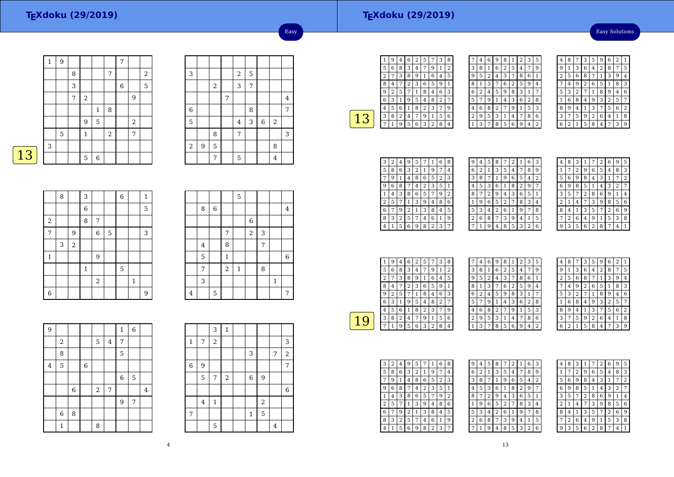## **TEXdoku (29/2019)**

#### Easy Solutions

| 1 | $\boldsymbol{9}$ |   |            |              |                | 7                |                |       |
|---|------------------|---|------------|--------------|----------------|------------------|----------------|-------|
|   |                  | 8 |            |              | $\overline{7}$ |                  |                | $\,2$ |
|   |                  | 3 |            |              |                | $\boldsymbol{6}$ |                | 5     |
|   |                  | 7 | $\sqrt{2}$ |              |                |                  | 9              |       |
|   |                  |   |            | $\mathbf{1}$ | 8              |                  |                |       |
|   |                  |   | 9          | $\mathbf 5$  |                |                  | $\overline{2}$ |       |
|   | $\overline{5}$   |   | 1          |              | $\,2$          |                  | 7              |       |
| 3 |                  |   |            |              |                |                  |                |       |
|   |                  |   | 5          | 6            |                |                  |                |       |

| 3              |   |            |   | $\sqrt{2}$     | 5 |             |                |   |
|----------------|---|------------|---|----------------|---|-------------|----------------|---|
|                |   | $\sqrt{2}$ |   | 3              | 7 |             |                |   |
|                |   |            | 7 |                |   |             |                | 4 |
| $\overline{6}$ |   |            |   |                | 8 |             |                | 7 |
| 5              |   |            |   | $\overline{4}$ | 3 | $\,$ 6 $\,$ | $\,2$          |   |
|                |   | 8          |   | 7              |   |             |                | 3 |
| $\sqrt{2}$     | 9 | 5          |   |                |   |             | 8              |   |
|                |   | 7          |   | 5              |   |             | $\overline{4}$ |   |

Easy

|             | 8 |            | 3              |            |   | $\,$ 6 $\,$ |   | $\mathbf{1}$ |
|-------------|---|------------|----------------|------------|---|-------------|---|--------------|
|             |   |            | $\overline{6}$ |            |   |             |   | 5            |
| $\,2$       |   |            | 8              | $\sqrt{ }$ |   |             |   |              |
| 7           |   | 9          |                | 6          | 5 |             |   | 3            |
|             | 3 | $\sqrt{2}$ |                |            |   |             |   |              |
| $\mathbf 1$ |   |            |                | 9          |   |             |   |              |
|             |   |            | $\mathbf{1}$   |            |   | 5           |   |              |
|             |   |            |                | $\sqrt{2}$ |   |             | 1 |              |
| 6           |   |            |                |            |   |             |   | 9            |

|   |   |   |              | 5            |                |   |              |   |
|---|---|---|--------------|--------------|----------------|---|--------------|---|
|   | 8 | 6 |              |              |                |   |              | 4 |
|   |   |   |              |              | $\overline{6}$ |   |              |   |
|   |   |   | 7            |              | $\,2$          | 3 |              |   |
|   | 4 |   | 8            |              |                | 7 |              |   |
|   | 5 |   | $\mathbf{1}$ |              |                |   |              | 6 |
|   | 7 |   | $\,2$        | $\mathbf{1}$ |                | 8 |              |   |
|   | 3 |   |              |              |                |   | $\mathbf{1}$ |   |
| 4 |   | 5 |              |              |                |   |              | 7 |

| $\overline{9}$          |                |   |                |   |         | $\mathbf{1}$ | $\overline{6}$ |                |
|-------------------------|----------------|---|----------------|---|---------|--------------|----------------|----------------|
|                         | $\,2$          |   |                | 5 | $\bf 4$ | 7            |                |                |
|                         | 8              |   |                |   |         | 5            |                |                |
| $\overline{\mathbf{4}}$ | 5              |   | $\overline{6}$ |   |         |              |                |                |
|                         |                |   |                |   |         | $\,6$        | 5              |                |
|                         |                | 6 |                | 2 | 7       |              |                | $\overline{4}$ |
|                         |                |   |                |   |         | 9            | 7              |                |
|                         | $\overline{6}$ | 8 |                |   |         |              |                |                |
|                         | $\mathbf{1}$   |   |                | 8 |         |              |                |                |

|             |                | 3              | $\mathbf{1}$ |             |                |                |             |
|-------------|----------------|----------------|--------------|-------------|----------------|----------------|-------------|
| 1           | 7              | $\overline{c}$ |              |             |                |                | 3           |
|             |                |                |              | 3           |                | 7              | $\sqrt{2}$  |
| $\,$ 6 $\,$ | 9              |                |              |             |                |                | 7           |
|             | 5              | 7              | $\,2$        | $\,$ 6 $\,$ | 9              |                |             |
|             |                |                |              |             |                |                | $\,$ 6 $\,$ |
|             | $\overline{4}$ | $\mathbf 1$    |              |             | $\overline{2}$ |                |             |
| 7           |                |                |              | $\mathbf 1$ | 5              |                |             |
|             |                | 5              |              |             |                | $\overline{4}$ |             |

|   | 9 | 4 | 6 | 2 | 5 | 7              | 3 | 8 |  |
|---|---|---|---|---|---|----------------|---|---|--|
| 5 | 6 | 8 | 3 | 4 | 7 | 9              | 1 | 2 |  |
| 2 | 7 | 3 | 8 | 9 | 1 | 6              | 4 | 5 |  |
| 8 | 4 |   | 2 | 3 | 6 | 5              | 9 | 1 |  |
| 9 | 2 | 5 | 7 | 1 | 8 | 4              | 6 | 3 |  |
| 6 | 3 | 1 | 9 | 5 | 4 | 8              | 2 | 7 |  |
| 4 | 5 | 6 |   | 8 | 2 | 3              | 7 | 9 |  |
| 3 | 8 | 2 | 4 | 7 | 9 | 1              | 5 | 6 |  |
|   |   | 9 | 5 | 6 | 3 | $\overline{2}$ | 8 | 4 |  |
|   |   |   |   |   |   |                |   |   |  |

| 7 | 4 | 6 | 9            | 8              | 1 | $\overline{2}$ | 3              | 5 |  |
|---|---|---|--------------|----------------|---|----------------|----------------|---|--|
| 3 | 8 | 1 | 6            | $\overline{2}$ | 5 | 4              | 7              | 9 |  |
| 9 | 5 | 2 | 4            | 3              | 7 | 8              | 6              | 1 |  |
| 8 | 1 | 3 | 7            | 6              | 2 | 5              | 9              | 4 |  |
| 6 | 2 | 4 | 5            | 9              | 8 | 3              | 1              | 7 |  |
| 5 | 7 | 9 | $\mathbf{1}$ | 4              | 3 | 6              | $\overline{2}$ | 8 |  |
| 4 | 6 | 8 | 2            | 7              | 9 | 1              | 5              | 3 |  |
| 2 | 9 | 5 | 3            | 1              | 4 | 7              | 8              | 6 |  |
| 1 | 3 | 7 | 8            | 5              | 6 | 9              | 4              | 2 |  |

| 4 | 8 |   | 3 | 5 | 9              | 6 | $\overline{2}$ | 1 |
|---|---|---|---|---|----------------|---|----------------|---|
| 9 | 1 | 3 | 6 | 4 | $\overline{2}$ | 8 | 7              | 5 |
| 2 | 5 | 6 | 8 | 7 | 1              | 3 | 9              | 4 |
| 7 | 4 | 9 | 2 | 6 | 5              | 1 | 8              | 3 |
| 5 | 3 | 2 | 7 | 1 | 8              | 9 | 4              | 6 |
| 1 | 6 | 8 | 4 | 9 | 3              | 2 | 5              | 7 |
| 8 | 9 | 4 | 1 | 3 | 7              | 5 | 6              | 2 |
| 3 | 7 | 5 | 9 | 2 | 6              | 4 | 1              | 8 |
| 6 | 2 | 1 | 5 | 8 | 4              | 7 | 3              | 9 |

| З | 2 | 4 | 9 | 5 |   | 1              | 6 | 8 |
|---|---|---|---|---|---|----------------|---|---|
| 5 | 8 | 6 | 3 | 2 | 1 | 9              |   | 4 |
|   | 9 |   | 4 | 8 | 6 | 5              | 2 | 3 |
|   | 6 | 8 |   | 4 | 2 | 3              | 5 | 1 |
|   | 4 | 3 | 8 | 6 | 5 |                | 9 | 2 |
| 2 | 5 |   | 1 | 3 | 9 | 4              | 8 | 6 |
| 6 |   | 9 | 2 | 1 | 3 | 8              | 4 | 5 |
| 8 | 3 | 2 | 5 | 7 | 4 | 6              | 1 | 9 |
| 4 |   | 5 | 6 | 9 | 8 | $\overline{2}$ | 3 | 7 |

| 9 | 4 | 5              | 8              | 7 | 2 | $\mathbf{1}$   | 6              | 3            |
|---|---|----------------|----------------|---|---|----------------|----------------|--------------|
| 6 | 2 | 1              | 3              | 5 | 4 |                | 8              | g            |
| 3 | 8 | 7              | 1              | 9 | 6 | 5              | 4              | 2            |
| 4 | 5 | 3              | 6              | 1 | 8 | $\overline{2}$ | 9              | 7            |
| 8 |   | 2              | 9              | 4 | 3 | 6              | 5              | $\mathbf{1}$ |
| 1 | 9 | 6              | 5              | 2 | 7 | 8              | 3              | 4            |
| 5 | 3 | $\overline{4}$ | $\overline{2}$ | 6 | 1 | 9              | 7              | 8            |
| 2 | 6 | 8              | 7              | 3 | 9 | 4              | $\mathbf{1}$   | 5            |
|   | 1 | 9              | 4              | 8 | 5 | 3              | $\overline{2}$ | 6            |
|   |   |                |                |   |   |                |                |              |

| 4 | 8 | 3 |   |   | 2 | 6              | 9 | 5 |
|---|---|---|---|---|---|----------------|---|---|
| 1 | 7 | 2 | 9 | 6 | 5 | 4              | 8 | 3 |
| 5 | 6 | 9 | 8 | 4 | 3 | 1              | 7 | 2 |
| 6 | 9 | 8 | 5 | 1 | 4 | 3              | 2 | 7 |
| 3 | 5 | 7 | 2 | 8 | 6 | 9              | 1 | 4 |
| 2 | 1 | 4 | 7 | 3 | 9 | 8              | 5 | 6 |
| 8 | 4 | 1 | 3 | 5 | 7 | $\overline{2}$ | 6 | 9 |
| 7 | 2 | 6 | 4 | 9 | 1 | 5              | 3 | 8 |
| o | 3 | 5 | 6 | 2 | 8 |                | 4 |   |

|   | 9 | 4 | 6 | 2 | 5 |   | 3 | 8 |  |
|---|---|---|---|---|---|---|---|---|--|
| 5 | 6 | 8 | 3 | 4 | 7 | 9 |   | 2 |  |
| 2 |   | 3 | 8 | 9 | 1 | 6 | 4 | 5 |  |
| 8 | 4 |   | 2 | 3 | 6 | 5 | 9 |   |  |
| 9 | 2 | 5 |   | 1 | 8 | 4 | 6 | 3 |  |
| 6 | 3 | 1 | 9 | 5 | 4 | 8 | 2 |   |  |
| 4 | 5 | 6 | 1 | 8 | 2 | 3 |   | 9 |  |
| 3 | 8 | 2 | 4 | 7 | 9 | 1 | 5 | 6 |  |
|   |   | q | 5 | 6 | 3 | 2 | 8 | 4 |  |
|   |   |   |   |   |   |   |   |   |  |

| 7            | 4 | 6 | 9 | 8 | 1 | 2 | 3 | 5 |  |
|--------------|---|---|---|---|---|---|---|---|--|
| 3            | 8 | 1 | 6 | 2 | 5 | 4 | 7 | 9 |  |
| 9            | 5 | 2 | 4 | 3 | 7 | 8 | 6 | 1 |  |
| 8            | 1 | 3 | 7 | 6 | 2 | 5 | 9 | 4 |  |
| 6            | 2 | 4 | 5 | 9 | 8 | 3 | 1 | 7 |  |
| 5            | 7 | 9 | 1 | 4 | 3 | 6 | 2 | 8 |  |
| 4            | 6 | 8 | 2 | 7 | 9 | 1 | 5 | 3 |  |
| 2            | 9 | 5 | 3 | 1 | 4 | 7 | 8 | 6 |  |
| $\mathbf{1}$ | 3 | 7 | 8 | 5 | 6 | 9 | 4 | 2 |  |

| 4 | 8 | 7              | 3              | 5 | 9              | 6              | $\overline{2}$ | 1 |
|---|---|----------------|----------------|---|----------------|----------------|----------------|---|
| 9 | 1 | 3              | 6              | 4 | $\overline{2}$ | 8              | 7              | 5 |
| 2 | 5 | 6              | 8              | 7 | 1              | 3              | 9              | 4 |
| 7 | 4 | 9              | $\overline{c}$ | 6 | 5              | 1              | 8              | 3 |
| 5 | 3 | $\overline{2}$ | 7              | 1 | 8              | 9              | 4              | 6 |
| 1 | 6 | 8              | 4              | 9 | 3              | $\overline{c}$ | 5              | 7 |
| 8 | 9 | 4              | 1              | 3 | 7              | 5              | 6              | 2 |
| 3 | 7 | 5              | 9              | 2 | 6              | 4              | 1              | 8 |
| 6 | 2 | 1              | 5              | 8 | 4              |                | 3              | 9 |

| 3 | 2 | 4                       | 9 | 5              |   | 1              | 6 | 8              |  |
|---|---|-------------------------|---|----------------|---|----------------|---|----------------|--|
| 5 | 8 | 6                       | 3 | $\overline{2}$ | 1 | 9              | 7 | 4              |  |
| 7 | 9 | 1                       | 4 | 8              | 6 | 5              | 2 | 3              |  |
| g | 6 | 8                       |   | 4              | 2 | 3              | 5 | 1              |  |
| 1 | 4 | 3                       | 8 | 6              | 5 | 7              | 9 | $\overline{2}$ |  |
| 2 | 5 | 7                       | 1 | 3              | 9 | 4              | 8 | 6              |  |
| 6 | 7 | 9                       | 2 | 1              | 3 | 8              | 4 | 5              |  |
| 8 | 3 | $\overline{\mathbf{c}}$ | 5 | 7              | 4 | 6              | 1 | 9              |  |
| 4 | 1 | 5                       | 6 | 9              | 8 | $\overline{2}$ | 3 | 7              |  |

| 9              | 4 | 5 | 8 | 7 | 2 | 1                       | 6              | 3 |
|----------------|---|---|---|---|---|-------------------------|----------------|---|
| 6              | 2 | 1 | 3 | 5 | 4 |                         | 8              | 9 |
| 3              | 8 | 7 | 1 | 9 | 6 | 5                       | 4              | 2 |
| 4              | 5 | 3 | 6 | 1 | 8 | $\overline{\mathbf{c}}$ | 9              | 7 |
| 8              | 7 | 2 | 9 | 4 | 3 | 6                       | 5              | 1 |
| 1              | 9 | 6 | 5 | 2 | 7 | 8                       | 3              | 4 |
| 5              | 3 | 4 | 2 | 6 | 1 | 9                       | 7              | 8 |
| $\overline{c}$ | 6 | 8 | 7 | 3 | 9 | 4                       | 1              | 5 |
|                | 1 | 9 | 4 | 8 | 5 | 3                       | $\overline{2}$ | 6 |

| 4 | 8 | 3 | ı |   | 2 | 6              | 9              | 5 |
|---|---|---|---|---|---|----------------|----------------|---|
| 1 | 7 | 2 | 9 | 6 | 5 | 4              | 8              | 3 |
| 5 | 6 | 9 | 8 | 4 | 3 | 1              |                | 2 |
| 6 | 9 | 8 | 5 | 1 | 4 | 3              | $\overline{2}$ | 7 |
| 3 | 5 | 7 | 2 | 8 | 6 | 9              | 1              | 4 |
| 2 | 1 | 4 |   | 3 | 9 | 8              | 5              | 6 |
| 8 | 4 | 1 | 3 | 5 | 7 | $\overline{2}$ | 6              | 9 |
|   | 2 | 6 | 4 | 9 | 1 | 5              | 3              | 8 |
|   | 3 | 5 | 6 | 2 | 8 | 7              | 4              | 1 |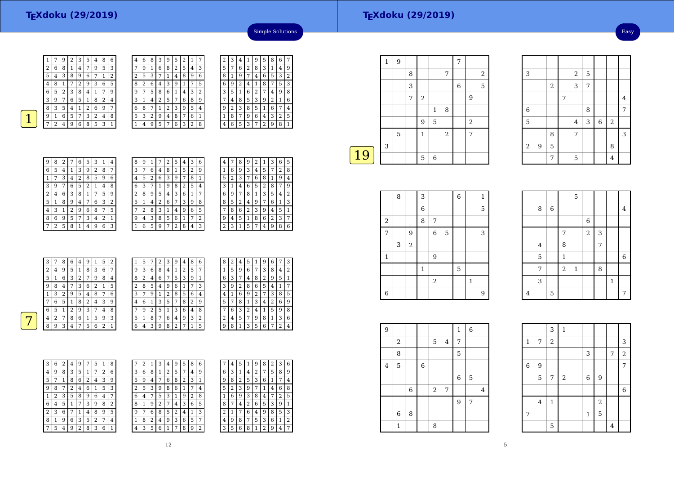Easy



 $\overline{1}$ 

2

 $\lceil 5 \rceil$  $\frac{5}{4}$  $\frac{4}{8}$ 

| 1 |   | 9 | 2 | 3 | 5 | 4 | 8 | 6 | 4 | 6 | 8 |   | 9 | 5 | 2 | 1              |                |
|---|---|---|---|---|---|---|---|---|---|---|---|---|---|---|---|----------------|----------------|
| 2 | 6 | 8 | 1 | 4 | 7 | 9 | 5 | 3 | 7 | 9 |   | 6 | 8 | 2 | 5 | 4              | 3              |
| 5 | 4 | 3 | 8 | 9 | 6 |   |   | 2 | 2 | 5 | 3 |   | 1 | 4 | 8 | 9              | 6              |
| 4 | 8 | 1 |   | 2 | 9 | 3 | 6 | 5 | 8 | 2 | 6 | 4 | 3 | 9 |   | 7              | 5              |
| 6 | 5 | 2 | 3 | 8 | 4 | 1 | 7 | 9 | 9 | 7 | 5 | 8 | 6 | 1 | 4 | 3              | $\overline{2}$ |
| 3 | 9 | 7 | 6 | 5 | 1 | 8 | 2 | 4 | 3 |   | 4 | 2 | 5 | 7 | 6 | 8              | 9              |
| 8 | 3 | 5 | 4 | 1 | 2 | 6 | 9 | 7 | 6 | 8 |   |   | 2 | 3 | 9 | 5              | 4              |
| 9 | 1 | 6 | 5 | 7 | 3 | 2 | 4 | 8 | 5 | 3 | 2 | 9 | 4 | 8 | 7 | 6              | 1              |
| 7 | 2 | 4 | 9 | 6 | 8 | 5 | 3 |   |   | 4 | 9 | 5 | 7 | 6 | 3 | $\overline{2}$ | 8              |

|   | 6 | 8           | 5 | 9 |                | 4 | 3 | 2 | 7                       |
|---|---|-------------|---|---|----------------|---|---|---|-------------------------|
| 9 | 4 | $\mathbf 1$ | 3 | 8 | $\overline{2}$ | 6 | 7 | 5 | 3                       |
| 2 | 3 | 5           | 6 | 4 |                | 9 | 1 | 8 | $\mathbf{5}$            |
| 3 | 5 | 7           | 8 | 1 | 4              | 2 | 9 | 6 | 5                       |
| 8 | 9 | 4           | 7 | 2 | 6              | 1 | 5 | 3 | $\overline{\mathbf{r}}$ |
| 6 | 1 | 2           | 9 | 3 | 5              | 8 | 4 |   |                         |
| 4 | 7 | 6           | 1 | 5 | 8              | 3 | 2 | 9 | 1                       |
| 5 | 2 | 3           | 4 | 6 | 9              | 7 | 8 | 1 |                         |
|   | 8 | 9           | 2 | 7 | 3              | 5 | 6 | 4 |                         |
|   |   |             |   |   |                |   |   |   | 3                       |

Simple Solutions

| $\perp$     7   2   4   9   6   8   5   3   1 |            |  |  |  |  |
|-----------------------------------------------|------------|--|--|--|--|
|                                               |            |  |  |  |  |
|                                               |            |  |  |  |  |
|                                               |            |  |  |  |  |
|                                               |            |  |  |  |  |
|                                               | 9827653114 |  |  |  |  |

7

| 9 | 8 | 2 | 7              | 6              | 5 | 3 | 1 | 4              |
|---|---|---|----------------|----------------|---|---|---|----------------|
| 6 | 5 | 4 | 1              | 3              | 9 | 2 | 8 | 7              |
| 1 |   | 3 | 4              | $\overline{c}$ | 8 | 5 | 9 | 6              |
| 3 | 9 | 7 | 6              | 5              | 2 | 1 | 4 | 8              |
| 2 | 4 | 6 | 3              | 8              | 1 |   | 5 | 9              |
| 5 | 1 | 8 | 9              | 4              | 7 | 6 | 3 | $\overline{2}$ |
| 4 | 3 | 1 | $\overline{2}$ | 9              | 6 | 8 | 7 | 5              |
| 8 | 6 | 9 | 5              | 7              | 3 | 4 | 2 | 1              |
| 7 | 2 | 5 | 8              | 1              | 4 | 9 | 6 | 3              |

| 8 | 9 | 1 |   | 2 | 5 | 4 | З | 6 |
|---|---|---|---|---|---|---|---|---|
| 3 | 7 | 6 | 4 | 8 | 1 | 5 | 2 | 9 |
| 4 | 5 | 2 | 6 | 3 | 9 | 7 | 8 | 1 |
| 6 | 3 | 7 | 1 | 9 | 8 | 2 | 5 | 4 |
| 2 | 8 | 9 | 5 | 4 | 3 | 6 | 1 | 7 |
| 5 | 1 | 4 | 2 | 6 | 7 | 3 | 9 | 8 |
|   | 2 | 8 | 3 | 1 | 4 | 9 | 6 | 5 |
| 9 | 4 | 3 | 8 | 5 | 6 | 1 | 7 | 2 |
|   | 6 | 5 | 9 | 7 | 2 | 8 | 4 | 3 |

| 4 |   | 8 | 9 | 2 |   |   |   | 5           |
|---|---|---|---|---|---|---|---|-------------|
| 1 | 6 | 9 | 3 | 4 | 5 | 7 | 2 | 8           |
| 5 | 2 | 3 | 7 | 6 | 8 | 1 | 9 | 4           |
| 3 | 1 | 4 | 6 | 5 | 2 | 8 |   | 9           |
| 6 | 9 | 7 | 8 | 1 | 3 | 5 | 4 | 2           |
| 8 | 5 | 2 | 4 | 9 | 7 | 6 | 1 | 3           |
|   | 8 | 6 | 2 | 3 | 9 | 4 | 5 | 1           |
| 9 | 4 | 5 | 1 | 8 | 6 | 2 | 3 | 7           |
| 2 | 3 | 1 | 5 | 7 | 4 | 9 | 8 | 6           |
|   |   |   |   |   |   |   |   | З<br>6<br>1 |

| 3 | 7      | 8 | 6 | 4      | 9 |   | 5 | 2 | 1              | 5 |   |   | 3 | 9              | 4 | 8 | 6 |
|---|--------|---|---|--------|---|---|---|---|----------------|---|---|---|---|----------------|---|---|---|
| 2 | 4      | 9 | 5 |        | 8 | 3 | 6 | 7 | 9              | 3 | 6 | 8 | 4 |                | 2 | 5 | 7 |
| 5 |        | 6 | 3 | ר<br>∠ | 7 | 9 | 8 | 4 | 8              | 2 | 4 | 6 | 7 | 5              | 3 | 9 |   |
| 9 | 8      | 4 |   | 3      | 6 | h |   | 5 | $\overline{2}$ | 8 | 5 | 4 | 9 | 6              |   | 7 | 3 |
|   | 3      | 2 | 9 | 5      | 4 | 8 | 7 | 6 | 3              | 7 | 9 |   | 2 | 8              | 5 | 6 | 4 |
| 7 | 6      | 5 |   | 8      | 2 | 4 | 3 | 9 | 4              | 6 |   | 3 | 5 | 7              | 8 | 2 | 9 |
| 6 | 5      |   |   | 9      | 3 |   | 4 | 8 | 7              | 9 | 2 | 5 |   | 3              | 6 | 4 | 8 |
| 4 | ∍<br>∠ | 7 | 8 | 6      | 1 | 5 | 9 | 3 | 5              | 1 | 8 | 7 | 6 | 4              | 9 | 3 | 2 |
| 8 | 9      | 3 |   | ⇁      | 5 | 6 | າ | 1 | 6              | 4 | 3 | 9 | 8 | $\overline{c}$ | ⇁ |   | 5 |
|   |        |   |   |        |   |   |   |   |                |   |   |   |   |                |   |   |   |

| 8 | 2 | 4 | 5 | 1 | 9 | 6            | 7 | 3              |
|---|---|---|---|---|---|--------------|---|----------------|
| 1 | 5 | 9 | 6 | 7 | 3 | 8            | 4 | $\overline{2}$ |
| 6 | 3 | 7 | 4 | 8 | 2 | 9            | 5 | 1              |
| 3 | 9 | 2 | 8 | 6 | 5 | 4            | 1 | 7              |
| 4 | 1 | 6 | 9 | 2 | 7 | 3            | 8 | 5              |
| 5 | 7 | 8 | 1 | 3 | 4 | 2            | 6 | 9              |
| 7 | 6 | 3 | 2 | 4 | 1 | 5            | 9 | 8              |
| 2 | 4 | 5 | 7 | 9 | 8 | $\mathbf{1}$ | 3 | 6              |
| ä | 8 | 1 | 3 | 5 | 6 | 7            | 2 | 4              |

| 3 | 6 | 2 | 4 | 9 | 7 | 5 | $\mathbf{1}$ | 8 | 7 |
|---|---|---|---|---|---|---|--------------|---|---|
| 4 | 9 | 8 | 3 | 5 | 1 | 7 | 2            | 6 | É |
| 5 |   | 1 | 8 | 6 | 2 | 4 | 3            | 9 | E |
| 9 | 8 | 7 | 2 | 4 | 6 | 1 | 5            | 3 | 2 |
| 1 | 2 | 3 | 5 | 8 | 9 | 6 | 4            | 7 | б |
| 6 | 4 | 5 | 1 | 7 | 3 | 9 | 8            | 2 | ٤ |
| 2 | 3 | 6 | 7 | 1 | 4 | 8 | 9            | 5 | ć |
| 8 | 1 | 9 | 6 | 3 | 5 | 2 | 7            | 4 | 1 |
| 7 | 5 | 4 | 9 | 2 | 8 | 3 | 6            | 1 | 4 |
|   |   |   |   |   |   |   |              |   |   |

| 7 | 2 |   | 3 | 4 | y | b | 8 | 6 |   |   |
|---|---|---|---|---|---|---|---|---|---|---|
| 3 | 6 | 8 |   | 2 | 5 | 7 | 4 | 9 | 6 | 3 |
| 5 | 9 | 4 |   | 6 | 8 | 2 | 3 | 1 | 9 | 8 |
| 2 | 5 | 3 | 9 | 8 | 6 |   |   | 4 | 5 | 2 |
| 6 | 4 | 7 | 5 | 3 | 1 | 9 | 2 | 8 | 1 | 6 |
| 8 |   | 9 | 2 | 7 | 4 | 3 | 6 | 5 | 8 |   |
| 9 |   | 6 | 8 | 5 | 2 | 4 |   | 3 | 2 |   |
| 1 | 8 | 2 | 4 | 9 | 3 | 6 | 5 | 7 | 4 | 9 |
|   | 3 | 5 | 6 |   | 7 | 8 | 9 | 2 | 3 | 5 |
|   |   |   |   |   |   |   |   |   |   |   |

|   | 4 | 5 | 1 | 9 | 8              | 2 | 3 | 6 |
|---|---|---|---|---|----------------|---|---|---|
| 6 | 3 | 1 | 4 | 2 | 7              | 5 | 8 | 9 |
| 9 | 8 | 2 | 5 | 3 | 6              | 1 | 7 | 4 |
| 5 | 2 | 3 | 9 | 7 | 1              | 4 | 6 | 8 |
| 1 | 6 | 9 | 3 | 8 | 4              | 7 | 2 | 5 |
| 8 | 7 | 4 | 2 | 6 | 5              | 3 | 9 | 1 |
| 2 | 1 | 7 | 6 | 4 | 9              | 8 | 5 | 3 |
| 4 | 9 | 8 | 7 | 5 | 3              | 6 | 1 | 2 |
| 3 | 5 | 6 | 8 | 1 | $\overline{c}$ | 9 | 4 | 7 |

|    | 1 | 9           |   |              |   |                | 7 |                |                |
|----|---|-------------|---|--------------|---|----------------|---|----------------|----------------|
|    |   |             | 8 |              |   | 7              |   |                | $\overline{2}$ |
|    |   |             | 3 |              |   |                | 6 |                | 5              |
|    |   |             | 7 | $\sqrt{2}$   |   |                |   | 9              |                |
|    |   |             |   |              | 1 | 8              |   |                |                |
|    |   |             |   | 9            | 5 |                |   | $\overline{2}$ |                |
|    |   | $\mathbf 5$ |   | $\mathbf{1}$ |   | $\overline{2}$ |   | 7              |                |
|    | 3 |             |   |              |   |                |   |                |                |
| 19 |   |             |   | 5            | 6 |                |   |                |                |
|    |   |             |   |              |   |                |   |                |                |

2

7

1

6

|              | 8 |       | 3 |        |   | 6 |   | 1 |
|--------------|---|-------|---|--------|---|---|---|---|
|              |   |       | 6 |        |   |   |   | 5 |
| 2            |   |       | 8 | 7      |   |   |   |   |
| 7            |   | 9     |   | $\,$ 6 | 5 |   |   | 3 |
|              | 3 | $\,2$ |   |        |   |   |   |   |
| $\mathbf{1}$ |   |       |   | 9      |   |   |   |   |
|              |   |       | 1 |        |   | 5 |   |   |
|              |   |       |   | 2      |   |   | 1 |   |
|              |   |       |   |        |   |   |   |   |

|                |                |       |                | 5           |                |                |              |                |
|----------------|----------------|-------|----------------|-------------|----------------|----------------|--------------|----------------|
|                | 8              | $\,6$ |                |             |                |                |              | $\overline{4}$ |
|                |                |       |                |             | 6              |                |              |                |
|                |                |       | 7              |             | $\overline{2}$ | 3              |              |                |
|                | $\overline{4}$ |       | 8              |             |                | $\overline{7}$ |              |                |
|                | 5              |       | $\mathbf{1}$   |             |                |                |              | $\,$ 6 $\,$    |
|                | 7              |       | $\overline{a}$ | $\mathbf 1$ |                | 8              |              |                |
|                | 3              |       |                |             |                |                | $\mathbf{1}$ |                |
| $\overline{4}$ |                | 5     |                |             |                |                |              | 7              |

3

6

5

2

 $\begin{array}{|c|c|c|c|c|}\n\hline\n3 & 2 \\
\hline\n\end{array}$ 

2

 $\begin{array}{|c|c|c|c|c|}\n\hline\n5 & 4 \\
\hline\n\end{array}$ 

7

7

8 7

 $2 \mid 9 \mid 5$  8

7 | 5 | 4

 $\begin{array}{|c|c|c|}\n\hline\n2 & 5 \\
\hline\n3 & 7\n\end{array}$ 

 $\begin{array}{|c|c|c|c|c|}\n\hline\n7 & 4 \\
\hline\n\end{array}$ 

 $\begin{array}{|c|c|c|c|c|}\n\hline\n4 & 3 & 6 & 2 \\
\hline\n7 & & & & \n\end{array}$ 

 $\frac{7}{1}$  3

 $\overline{3}$ 

6 8 7

| 9              |                |             |             |       |            | $\mathbf{1}$ | $\,$ 6 $\,$ |                |  |
|----------------|----------------|-------------|-------------|-------|------------|--------------|-------------|----------------|--|
|                | 2              |             |             | 5     | 4          | 7            |             |                |  |
|                | 8              |             |             |       |            | $\mathbf 5$  |             |                |  |
| $\overline{4}$ | $\overline{5}$ |             | $\,$ 6 $\,$ |       |            |              |             |                |  |
|                |                |             |             |       |            | $\,6\,$      | 5           |                |  |
|                |                | $\,$ 6 $\,$ |             | $\,2$ | $\sqrt{ }$ |              |             | $\overline{4}$ |  |
|                |                |             |             |       |            | 9            | 7           |                |  |
|                | 6              | 8           |             |       |            |              |             |                |  |
|                | 1              |             |             | 8     |            |              |             |                |  |

6 9

|              |                | 3              | $\mathbf{1}$ |             |                |                |             |
|--------------|----------------|----------------|--------------|-------------|----------------|----------------|-------------|
| $\mathbf{1}$ | 7              | $\overline{a}$ |              |             |                |                | 3           |
|              |                |                |              | 3           |                | 7              | $\sqrt{2}$  |
| $\,6$        | 9              |                |              |             |                |                | 7           |
|              | 5              | 7              | $\,2$        | $\,$ 6 $\,$ | $\overline{9}$ |                |             |
|              |                |                |              |             |                |                | $\,$ 6 $\,$ |
|              | $\overline{4}$ | $\mathbf 1$    |              |             | $\sqrt{2}$     |                |             |
| 7            |                |                |              | $\mathbf 1$ | 5              |                |             |
|              |                | 5              |              |             |                | $\overline{4}$ |             |

5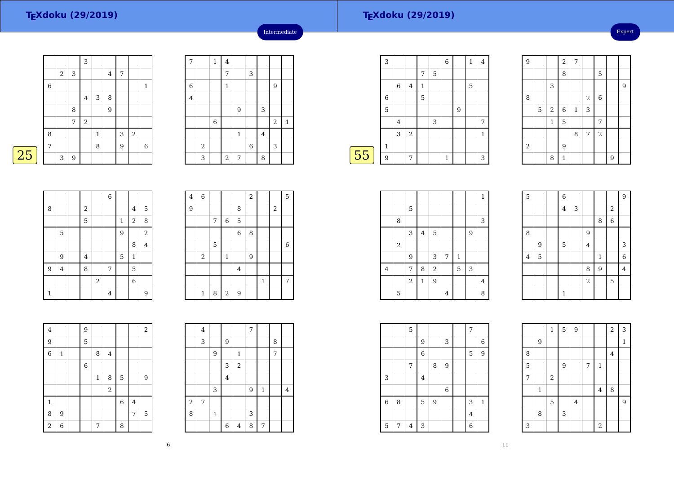|    |   |   |   | 3     |              |   |   |                |             |
|----|---|---|---|-------|--------------|---|---|----------------|-------------|
|    |   | 2 | 3 |       |              | 4 | 7 |                |             |
|    | 6 |   |   |       |              |   |   |                | 1           |
|    |   |   |   | 4     | 3            | 8 |   |                |             |
|    |   |   | 8 |       |              | 9 |   |                |             |
|    |   |   | 7 | $\,2$ |              |   |   |                |             |
|    | 8 |   |   |       | $\mathbf{1}$ |   | 3 | $\overline{2}$ |             |
|    | 7 |   |   |       | 8            |   | 9 |                | $\,$ 6 $\,$ |
| 25 |   | 3 | 9 |       |              |   |   |                |             |

| 7              |       | $\mathbf 1$ | $\bf 4$      |              |       |         |                |              |
|----------------|-------|-------------|--------------|--------------|-------|---------|----------------|--------------|
|                |       |             | 7            |              | 3     |         |                |              |
| $\overline{6}$ |       |             | $\mathbf{1}$ |              |       |         | 9              |              |
| $\bf 4$        |       |             |              |              |       |         |                |              |
|                |       |             |              | 9            |       | 3       |                |              |
|                |       | 6           |              |              |       |         | $\overline{2}$ | $\mathbf{1}$ |
|                |       |             |              | $\mathbf{1}$ |       | $\bf 4$ |                |              |
|                | $\,2$ |             |              |              | $\,6$ |         | 3              |              |
|                | 3     |             | $\,2$        | 7            |       | 8       |                |              |
|                |       |             |              |              |       |         |                |              |

Intermediate

|    | 3              |   |                |              |             | 6 |   | 1 | 4 |
|----|----------------|---|----------------|--------------|-------------|---|---|---|---|
|    |                |   |                | 7            | $\mathbf 5$ |   |   |   |   |
|    |                | 6 | $\bf 4$        | $\mathbf{1}$ |             |   |   | 5 |   |
|    | $\overline{6}$ |   |                | 5            |             |   |   |   |   |
|    | 5              |   |                |              |             |   | 9 |   |   |
|    |                | 4 |                |              | 3           |   |   |   | 7 |
|    |                | 3 | $\overline{2}$ |              |             |   |   |   | 1 |
|    | $\mathbf 1$    |   |                |              |             |   |   |   |   |
| 55 | 9              |   | 7              |              |             | 1 |   |   | 3 |
|    |                |   |                |              |             |   |   |   |   |

| 9                |   |              | $\overline{a}$   | 7            |       |             |   |   |
|------------------|---|--------------|------------------|--------------|-------|-------------|---|---|
|                  |   |              | 8                |              |       | 5           |   |   |
|                  |   | 3            |                  |              |       |             |   | 9 |
| 8                |   |              |                  |              | $\,2$ | $\,$ 6 $\,$ |   |   |
|                  | 5 | $\,2$        | $\boldsymbol{6}$ | $\mathbf{1}$ | 3     |             |   |   |
|                  |   | $\mathbf{1}$ | 5                |              |       | 7           |   |   |
|                  |   |              |                  | 8            | 7     | $\sqrt{2}$  |   |   |
| $\boldsymbol{2}$ |   |              | $\overline{9}$   |              |       |             |   |   |
|                  |   | 8            | $\mathbf{1}$     |              |       |             | 9 |   |

|   |                  |                  |       | $\overline{6}$ |              |                  |                |
|---|------------------|------------------|-------|----------------|--------------|------------------|----------------|
| 8 |                  | $\boldsymbol{2}$ |       |                |              | 4                | 5              |
|   |                  | 5                |       |                | $\mathbf{1}$ | $\boldsymbol{2}$ | 8              |
|   | 5                |                  |       |                | 9            |                  | $\overline{a}$ |
|   |                  |                  |       |                |              | 8                | $\overline{4}$ |
|   | $\boldsymbol{9}$ | $\overline{4}$   |       |                | 5            | $\mathbf{1}$     |                |
| 9 | $\overline{4}$   | 8                |       | $\overline{7}$ |              | 5                |                |
|   |                  |                  | $\,2$ |                |              | $\boldsymbol{6}$ |                |
| 1 |                  |                  |       | 4              |              |                  | 9              |

| $\bf 4$ | $\,$ 6 $\,$  |   |                  |             | $\,2$ |              |                         | 5 |
|---------|--------------|---|------------------|-------------|-------|--------------|-------------------------|---|
| 9       |              |   |                  | 8           |       |              | $\overline{\mathbf{c}}$ |   |
|         |              | 7 | $\boldsymbol{6}$ | $\mathbf 5$ |       |              |                         |   |
|         |              |   |                  | 6           | 8     |              |                         |   |
|         |              | 5 |                  |             |       |              |                         | 6 |
|         | $\,2$        |   | $\mathbf{1}$     |             | 9     |              |                         |   |
|         |              |   |                  | $\bf 4$     |       |              |                         |   |
|         |              |   |                  |             |       | $\mathbf{1}$ |                         | 7 |
|         | $\mathbf{1}$ | 8 | $\,2$            | 9           |       |              |                         |   |

| $\overline{4}$ |              | 9           |              |       |             |                | $\overline{a}$ |
|----------------|--------------|-------------|--------------|-------|-------------|----------------|----------------|
| 9              |              | 5           |              |       |             |                |                |
| $\overline{6}$ | $\mathbf{1}$ |             | 8            | 4     |             |                |                |
|                |              | $\,$ 6 $\,$ |              |       |             |                |                |
|                |              |             | $\mathbf{1}$ | 8     | 5           |                | 9              |
|                |              |             |              | $\,2$ |             |                |                |
| $\mathbf{1}$   |              |             |              |       | $\,$ 6 $\,$ | $\overline{4}$ |                |
| 8              | 9            |             |              |       |             | 7              | 5              |
| $\overline{a}$ | 6            |             | 7            |       | 8           |                |                |

|            | $\bf 4$ |              |                |                | 7 |              |   |                |
|------------|---------|--------------|----------------|----------------|---|--------------|---|----------------|
|            | 3       |              | 9              |                |   |              | 8 |                |
|            |         | 9            |                | $\mathbf 1$    |   |              | 7 |                |
|            |         |              | 3              | $\overline{a}$ |   |              |   |                |
|            |         |              | $\bf 4$        |                |   |              |   |                |
|            |         | $\,$ 3 $\,$  |                |                | 9 | $\mathbf{1}$ |   | $\overline{4}$ |
| $\sqrt{2}$ | 7       |              |                |                |   |              |   |                |
| 8          |         | $\mathbf{1}$ |                |                | 3 |              |   |                |
|            |         |              | $\overline{6}$ | $\overline{4}$ | 8 | 7            |   |                |

|                         |       |       |                |                  |                |   |   | $\mathbf{1}$   |  |
|-------------------------|-------|-------|----------------|------------------|----------------|---|---|----------------|--|
|                         |       | 5     |                |                  |                |   |   |                |  |
|                         | 8     |       |                |                  |                |   |   | 3              |  |
|                         |       | 3     | $\overline{4}$ | 5                |                |   | 9 |                |  |
|                         | $\,2$ |       |                |                  |                |   |   |                |  |
|                         |       | 9     |                | 3                | 7              | 1 |   |                |  |
| $\overline{\mathbf{4}}$ |       | 7     | 8              | $\sqrt{2}$       |                | 5 | 3 |                |  |
|                         |       | $\,2$ | $\mathbf{1}$   | $\boldsymbol{9}$ |                |   |   | $\overline{4}$ |  |
|                         | 5     |       |                |                  | $\overline{4}$ |   |   | 8              |  |

| $\mathbf 5$ |   | $\overline{6}$          |   |                |             |             | 9              |
|-------------|---|-------------------------|---|----------------|-------------|-------------|----------------|
|             |   | $\overline{\mathbf{4}}$ | 3 |                |             | $\sqrt{2}$  |                |
|             |   |                         |   |                | 8           | $\,$ 6 $\,$ |                |
| $\,$ 8 $\,$ |   |                         |   | 9              |             |             |                |
|             | 9 | 5                       |   | $\overline{4}$ |             |             | 3              |
| 4           | 5 |                         |   |                | $\mathbf 1$ |             | 6              |
|             |   |                         |   | 8              | 9           |             | $\overline{4}$ |
|             |   |                         |   | $\overline{a}$ |             | 5           |                |
|             |   | $\mathbf{1}$            |   |                |             |             |                |

|                           |   | 5 |                |   |       | 7 |              |  |
|---------------------------|---|---|----------------|---|-------|---|--------------|--|
|                           |   |   | 9              |   | 3     |   | 6            |  |
|                           |   |   | $\overline{6}$ |   |       | 5 | 9            |  |
|                           |   | 7 |                | 8 | 9     |   |              |  |
| $\ensuremath{\mathsf{3}}$ |   |   | $\overline{4}$ |   |       |   |              |  |
|                           |   |   |                |   | $\,6$ |   |              |  |
| $\,$ 6 $\,$               | 8 |   | 5              | 9 |       | 3 | $\mathbf{1}$ |  |
|                           |   |   |                |   |       | 4 |              |  |
| 5                         | 7 | 4 | 3              |   |       | 6 |              |  |

|   |              | $\mathbf 1$ | 5 | 9       |   |         | $\sqrt{2}$ | 3            |
|---|--------------|-------------|---|---------|---|---------|------------|--------------|
|   | 9            |             |   |         |   |         |            | $\mathbf{1}$ |
| 8 |              |             |   |         |   |         | $\bf 4$    |              |
| 5 |              |             | 9 |         | 7 | $\,1\,$ |            |              |
| 7 |              | $\,2$       |   |         |   |         |            |              |
|   | $\mathbf{1}$ |             |   |         |   | $\bf 4$ | 8          |              |
|   |              | 5           |   | $\bf 4$ |   |         |            | 9            |
|   | 8            |             | 3 |         |   |         |            |              |
| 3 |              |             |   |         |   | $\,2$   |            |              |

11

6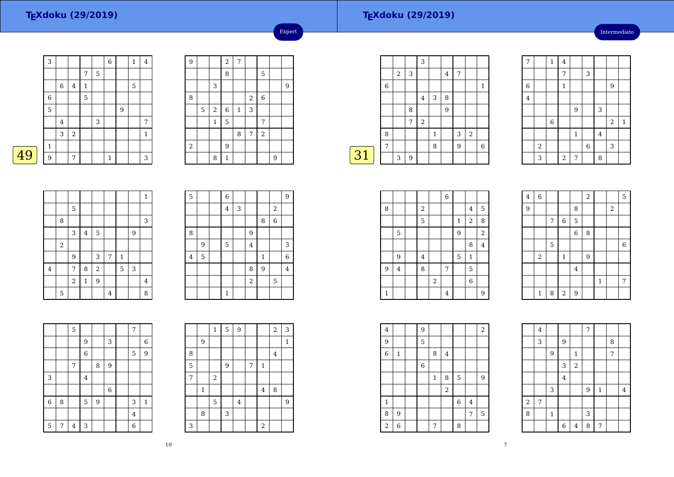5

9

2

<sup>4</sup>

8

 $\overline{2}$ 

5

 $\frac{5}{2}$  7

 $7 | 4 | 3$ 

4

49

## **TEXdoku (29/2019)**

Intermediate

|   | 3            |                |         |              |   | 6            |   | 1 | 4           |
|---|--------------|----------------|---------|--------------|---|--------------|---|---|-------------|
|   |              |                |         | 7            | 5 |              |   |   |             |
|   |              | 6              | $\bf 4$ | $\mathbf{1}$ |   |              |   | 5 |             |
|   | $\,$ 6 $\,$  |                |         | 5            |   |              |   |   |             |
|   | 5            |                |         |              |   |              | 9 |   |             |
|   |              | $\overline{4}$ |         |              | 3 |              |   |   | 7           |
|   |              | 3              | $\,2$   |              |   |              |   |   | $\mathbf 1$ |
|   | $\mathbf{1}$ |                |         |              |   |              |   |   |             |
| 9 | 9            |                | 7       |              |   | $\mathbf{1}$ |   |   | 3           |

8 | | | | | | | | | 3 3 4 5 9

<sup>3</sup> <sup>7</sup> <sup>1</sup>

 $\begin{array}{|c|c|c|c|c|}\n\hline\n7 & 8 & 2 & 5 & 3 \\
\hline\n2 & 1 & 9 & & \n\end{array}$ 

 $2 \mid 1 \mid 9 \mid$  4

4 | 8

 $6\overline{6}$ 

1

5

8

4

9 $\begin{array}{|c|c|} \hline 9 & & 5 \\ \hline 5 & & \\ \hline \end{array}$ 

|   |         | $\sqrt{2}$     | 7            |       |                |   |   |
|---|---------|----------------|--------------|-------|----------------|---|---|
|   |         | 8              |              |       | 5              |   |   |
|   | 3       |                |              |       |                |   | 9 |
|   |         |                |              | $\,2$ | $\,$ 6 $\,$    |   |   |
| 5 | $\,2$   | $\,$ 6 $\,$    | $\mathbf{1}$ | 3     |                |   |   |
|   | $\,1\,$ | $\overline{5}$ |              |       | 7              |   |   |
|   |         |                | 8            | 7     | $\overline{a}$ |   |   |
|   |         | 9              |              |       |                |   |   |
|   | 8       | $\mathbf{1}$   |              |       |                | 9 |   |
|   |         |                |              |       |                |   |   |

<sup>6</sup> <sup>9</sup>

4 5 1 6 8

8 9

1

 $\frac{4}{3}$  2

 $\frac{8}{16}$ 

 $\begin{array}{c|c|c}\n4 & 3 \\
\hline\n1 & 6\n\end{array}$ 

 $\begin{array}{c|c|c}\n9 & 4 \\
\hline\n5 & \n\end{array}$  $\begin{array}{|c|c|c|c|c|}\n\hline\n2 & 5 \\
\hline\n\end{array}$ 

Expert

|       |            |   | 3              |   |                |   |                  |              |
|-------|------------|---|----------------|---|----------------|---|------------------|--------------|
|       | $\sqrt{2}$ | 3 |                |   | $\overline{4}$ | 7 |                  |              |
| $\,6$ |            |   |                |   |                |   |                  | $\mathbf{1}$ |
|       |            |   | 4              | 3 | 8              |   |                  |              |
|       |            | 8 |                |   | 9              |   |                  |              |
|       |            | 7 | $\overline{2}$ |   |                |   |                  |              |
| 8     |            |   |                | 1 |                | 3 | $\boldsymbol{2}$ |              |
| 7     |            |   |                | 8 |                | 9 |                  | 6            |
|       | 3          | 9 |                |   |                |   |                  |              |
|       |            |   |                |   |                |   |                  |              |

| $\overline{7}$   |       | $\mathbf 1$ | 4           |                |             |         |            |         |
|------------------|-------|-------------|-------------|----------------|-------------|---------|------------|---------|
|                  |       |             | 7           |                | 3           |         |            |         |
| $\boldsymbol{6}$ |       |             | $\mathbf 1$ |                |             |         | 9          |         |
| $\overline{4}$   |       |             |             |                |             |         |            |         |
|                  |       |             |             | 9              |             | 3       |            |         |
|                  |       | $\,$ 6 $\,$ |             |                |             |         | $\sqrt{2}$ | $\,1\,$ |
|                  |       |             |             | $\mathbf{1}$   |             | $\bf 4$ |            |         |
|                  | $\,2$ |             |             |                | $\,$ 6 $\,$ |         | 3          |         |
|                  | 3     |             | $\sqrt{2}$  | $\overline{7}$ |             | 8       |            |         |

| $\bf 4$        | $\overline{6}$ |             |              |                  | $\overline{2}$ |       |                  | 5              |
|----------------|----------------|-------------|--------------|------------------|----------------|-------|------------------|----------------|
| $\overline{9}$ |                |             |              | 8                |                |       | $\boldsymbol{2}$ |                |
|                |                | 7           | $\,$ 6 $\,$  | $\mathbf 5$      |                |       |                  |                |
|                |                |             |              | $\,$ 6 $\,$      | 8              |       |                  |                |
|                |                | $\mathbf 5$ |              |                  |                |       |                  | $\overline{6}$ |
|                | $\,2$          |             | $\mathbf{1}$ |                  | 9              |       |                  |                |
|                |                |             |              | $\bf 4$          |                |       |                  |                |
|                |                |             |              |                  |                | $1\,$ |                  | 7              |
|                | $\mathbf{1}$   | 8           | $\sqrt{2}$   | $\boldsymbol{9}$ |                |       |                  |                |

|                | $\overline{4}$ |              |                |       | 7 |              |   |         |
|----------------|----------------|--------------|----------------|-------|---|--------------|---|---------|
|                | 3              |              | 9              |       |   |              | 8 |         |
|                |                | 9            |                | 1     |   |              | 7 |         |
|                |                |              | 3              | $\,2$ |   |              |   |         |
|                |                |              | $\overline{4}$ |       |   |              |   |         |
|                |                | 3            |                |       | 9 | $\mathbf{1}$ |   | $\bf 4$ |
| $\overline{a}$ | 7              |              |                |       |   |              |   |         |
| 8              |                | $\mathbf{1}$ |                |       | 3 |              |   |         |
|                |                |              | $\overline{6}$ | 4     | 8 | 7            |   |         |

| $\overline{4}$ | $\overline{6}$ |              |               |                | $\overline{a}$ |              |            | 5 |
|----------------|----------------|--------------|---------------|----------------|----------------|--------------|------------|---|
| $\overline{9}$ |                |              |               | 8              |                |              | $\sqrt{2}$ |   |
|                |                | 7            | 6             | 5              |                |              |            |   |
|                |                |              |               | $\overline{6}$ | 8              |              |            |   |
|                |                | 5            |               |                |                |              |            | 6 |
|                | $\,2$          |              | $\mathbf{1}$  |                | 9              |              |            |   |
|                |                |              |               | $\bf 4$        |                |              |            |   |
|                |                |              |               |                |                | $\mathbf{1}$ |            | 7 |
|                | 1              | $\mathsf{R}$ | $\mathcal{D}$ | $\mathbf Q$    |                |              |            |   |

|   |                         |            |       | $\overline{6}$ |              |                  |                |  |
|---|-------------------------|------------|-------|----------------|--------------|------------------|----------------|--|
| 8 |                         | $\sqrt{2}$ |       |                |              | $\overline{4}$   | $\overline{5}$ |  |
|   |                         | 5          |       |                | $\mathbf{1}$ | $\overline{2}$   | 8              |  |
|   | 5                       |            |       |                | 9            |                  | $\overline{2}$ |  |
|   |                         |            |       |                |              | 8                | $\overline{4}$ |  |
|   | 9                       | 4          |       |                | 5            | $\mathbf{1}$     |                |  |
| 9 | $\overline{\mathbf{4}}$ | 8          |       | 7              |              | 5                |                |  |
|   |                         |            | $\,2$ |                |              | $\boldsymbol{6}$ |                |  |
| 1 |                         |            |       | $\bf 4$        |              |                  | 9              |  |

| $\overline{\mathbf{4}}$ |              | 9           |              |                         |             |   | $\sqrt{2}$ |  |
|-------------------------|--------------|-------------|--------------|-------------------------|-------------|---|------------|--|
| 9                       |              | $\mathbf 5$ |              |                         |             |   |            |  |
| 6                       | $\mathbf{1}$ |             | 8            | $\overline{\mathbf{4}}$ |             |   |            |  |
|                         |              | $\,6$       |              |                         |             |   |            |  |
|                         |              |             | $\mathbf{1}$ | 8                       | 5           |   | 9          |  |
|                         |              |             |              | $\,2$                   |             |   |            |  |
| 1                       |              |             |              |                         | $\,$ 6 $\,$ | 4 |            |  |
| 8                       | 9            |             |              |                         |             | 7 | 5          |  |
| $\overline{\mathbf{c}}$ | 6            |             | 7            |                         | 8           |   |            |  |

|                |   | 5 |                |   |        | 7 |              |
|----------------|---|---|----------------|---|--------|---|--------------|
|                |   |   | 9              |   | 3      |   | 6            |
|                |   |   | $\overline{6}$ |   |        | 5 | 9            |
|                |   | 7 |                | 8 | 9      |   |              |
| 3              |   |   | $\overline{4}$ |   |        |   |              |
|                |   |   |                |   | $\,$ 6 |   |              |
| $\overline{6}$ | 8 |   | 5              | 9 |        | 3 | $\mathbf{1}$ |
|                |   |   |                |   |        | 4 |              |

|                |              | $\mathbf{1}$ | 5 | 9       |   |                | 2 | 3            |
|----------------|--------------|--------------|---|---------|---|----------------|---|--------------|
|                | 9            |              |   |         |   |                |   | $\mathbf{1}$ |
| 8              |              |              |   |         |   |                | 4 |              |
| $\overline{5}$ |              |              | 9 |         | 7 | $\mathbf 1$    |   |              |
| $\overline{7}$ |              | $\,2$        |   |         |   |                |   |              |
|                | $\mathbf{1}$ |              |   |         |   | $\overline{4}$ | 8 |              |
|                |              | 5            |   | $\bf 4$ |   |                |   | 9            |
|                | 8            |              | 3 |         |   |                |   |              |
| 3              |              |              |   |         |   | $\overline{c}$ |   |              |